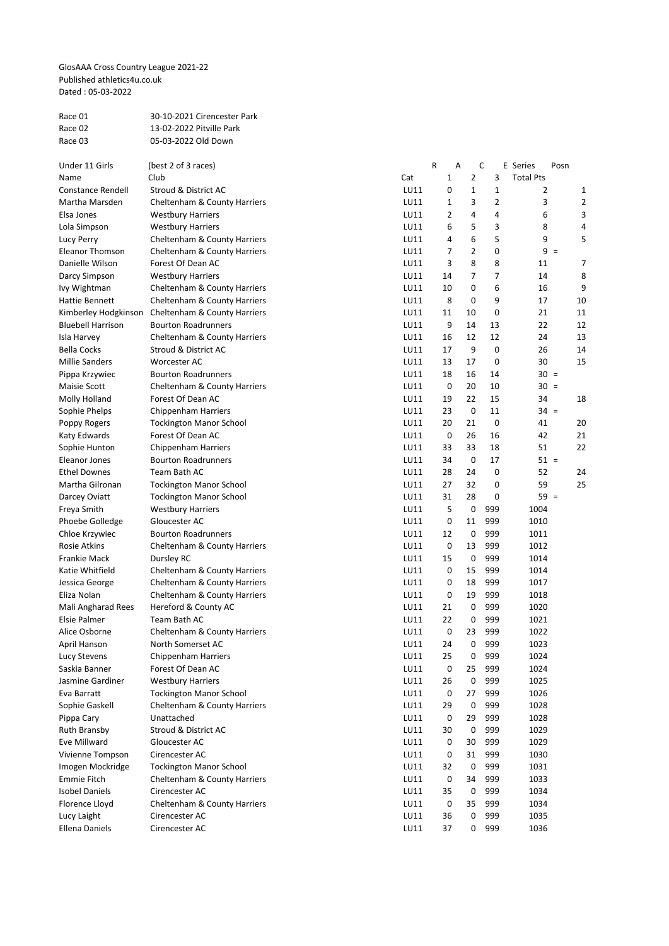GlosAAA Cross Country League 2021-22 Published athletics4u.co.uk Dated : 05-03-2022

| Race 01 | 30-10-2021 Cirencester Park |
|---------|-----------------------------|
| Race 02 | 13-02-2022 Pitville Park    |
| Race 03 | 05-03-2022 Old Down         |

| Under 11 Girls           | (best 2 of 3 races)            |      | R              | Α  | С              | E Series         | Posn  |    |
|--------------------------|--------------------------------|------|----------------|----|----------------|------------------|-------|----|
| Name                     | Club                           | Cat  | 1              | 2  | 3              | <b>Total Pts</b> |       |    |
| Constance Rendell        | Stroud & District AC           | LU11 | 0              | 1  | 1              | 2                |       |    |
| Martha Marsden           | Cheltenham & County Harriers   | LU11 | 1              | 3  | $\overline{2}$ | 3                |       |    |
| Elsa Jones               | <b>Westbury Harriers</b>       | LU11 | $\overline{2}$ | 4  | 4              | 6                |       | Э  |
| Lola Simpson             | <b>Westbury Harriers</b>       | LU11 | 6              | 5  | 3              | 8                |       | 4  |
| Lucy Perry               | Cheltenham & County Harriers   | LU11 | 4              | 6  | 5              | 9                |       | 5  |
| Eleanor Thomson          | Cheltenham & County Harriers   | LU11 | 7              | 2  | 0              |                  | $9 =$ |    |
| Danielle Wilson          | Forest Of Dean AC              | LU11 | 3              | 8  | 8              | 11               |       | 7  |
| Darcy Simpson            | <b>Westbury Harriers</b>       | LU11 | 14             | 7  | 7              | 14               |       | ε  |
| Ivy Wightman             | Cheltenham & County Harriers   | LU11 | 10             | 0  | 6              | 16               |       | S  |
| Hattie Bennett           | Cheltenham & County Harriers   | LU11 | 8              | 0  | 9              | 17               |       | 10 |
| Kimberley Hodgkinson     | Cheltenham & County Harriers   | LU11 | 11             | 10 | 0              | 21               |       | 11 |
| <b>Bluebell Harrison</b> | <b>Bourton Roadrunners</b>     | LU11 | 9              | 14 | 13             | 22               |       | 12 |
| Isla Harvey              | Cheltenham & County Harriers   | LU11 | 16             | 12 | 12             | 24               |       | 13 |
| Bella Cocks              | Stroud & District AC           | LU11 | 17             | 9  | 0              | 26               |       | 14 |
| <b>Millie Sanders</b>    | <b>Worcester AC</b>            | LU11 | 13             | 17 | 0              | 30               |       | 15 |
| Pippa Krzywiec           | <b>Bourton Roadrunners</b>     | LU11 | 18             | 16 | 14             | $30 =$           |       |    |
| Maisie Scott             | Cheltenham & County Harriers   | LU11 | 0              | 20 | 10             | $30 =$           |       |    |
| Molly Holland            | Forest Of Dean AC              | LU11 | 19             | 22 | 15             | 34               |       | 18 |
| Sophie Phelps            | Chippenham Harriers            | LU11 | 23             | 0  | 11             | $34 =$           |       |    |
| Poppy Rogers             | <b>Tockington Manor School</b> | LU11 | 20             | 21 | 0              | 41               |       | 20 |
| Katy Edwards             | Forest Of Dean AC              | LU11 | 0              | 26 | 16             | 42               |       | 21 |
| Sophie Hunton            | <b>Chippenham Harriers</b>     | LU11 | 33             | 33 | 18             | 51               |       | 22 |
| <b>Eleanor Jones</b>     | <b>Bourton Roadrunners</b>     | LU11 | 34             | 0  | 17             | $51 =$           |       |    |
| Ethel Downes             | Team Bath AC                   | LU11 | 28             | 24 | 0              | 52               |       | 24 |
| Martha Gilronan          | <b>Tockington Manor School</b> | LU11 | 27             | 32 | 0              | 59               |       | 25 |
| Darcey Oviatt            | <b>Tockington Manor School</b> | LU11 | 31             | 28 | 0              | $59 =$           |       |    |
| Freya Smith              | <b>Westbury Harriers</b>       | LU11 | 5              | 0  | 999            | 1004             |       |    |
| Phoebe Golledge          | Gloucester AC                  | LU11 | 0              | 11 | 999            | 1010             |       |    |
| Chloe Krzywiec           | <b>Bourton Roadrunners</b>     | LU11 | 12             | 0  | 999            | 1011             |       |    |
| Rosie Atkins             | Cheltenham & County Harriers   | LU11 | 0              | 13 | 999            | 1012             |       |    |
| Frankie Mack             | Dursley RC                     | LU11 | 15             | 0  | 999            | 1014             |       |    |
| Katie Whitfield          | Cheltenham & County Harriers   | LU11 | 0              | 15 | 999            | 1014             |       |    |
| Jessica George           | Cheltenham & County Harriers   | LU11 | 0              | 18 | 999            | 1017             |       |    |
| Eliza Nolan              | Cheltenham & County Harriers   | LU11 | 0              | 19 | 999            | 1018             |       |    |
| Mali Angharad Rees       | Hereford & County AC           | LU11 | 21             | 0  | 999            | 1020             |       |    |
| Elsie Palmer             | Team Bath AC                   | LU11 | 22             | 0  | 999            | 1021             |       |    |
| Alice Osborne            | Cheltenham & County Harriers   | LU11 | 0              | 23 | 999            | 1022             |       |    |
| April Hanson             | North Somerset AC              | LU11 | 24             | 0  | 999            | 1023             |       |    |
| Lucy Stevens             | Chippenham Harriers            | LU11 | 25             | 0  | 999            | 1024             |       |    |
| Saskia Banner            | Forest Of Dean AC              | LU11 | 0              | 25 | 999            | 1024             |       |    |
| Jasmine Gardiner         | <b>Westbury Harriers</b>       | LU11 | 26             | 0  | 999            | 1025             |       |    |
| Eva Barratt              | <b>Tockington Manor School</b> | LU11 | 0              | 27 | 999            | 1026             |       |    |
| Sophie Gaskell           | Cheltenham & County Harriers   | LU11 | 29             | 0  | 999            | 1028             |       |    |
| Pippa Cary               | Unattached                     | LU11 | 0              | 29 | 999            | 1028             |       |    |
| Ruth Bransby             | Stroud & District AC           | LU11 | 30             | 0  | 999            | 1029             |       |    |
| Eve Millward             | Gloucester AC                  | LU11 | 0              | 30 | 999            | 1029             |       |    |
| Vivienne Tompson         | Cirencester AC                 | LU11 | 0              | 31 | 999            | 1030             |       |    |
| Imogen Mockridge         | <b>Tockington Manor School</b> | LU11 | 32             | 0  | 999            | 1031             |       |    |
| Emmie Fitch              | Cheltenham & County Harriers   | LU11 | 0              | 34 | 999            | 1033             |       |    |
| <b>Isobel Daniels</b>    | Cirencester AC                 | LU11 | 35             | 0  | 999            | 1034             |       |    |
| <b>Florence Lloyd</b>    | Cheltenham & County Harriers   | LU11 | 0              | 35 | 999            | 1034             |       |    |
| Lucy Laight              | Cirencester AC                 | LU11 | 36             | 0  | 999            | 1035             |       |    |
| <b>Ellena Daniels</b>    | Cirencester AC                 | LU11 | 37             | 0  | 999            | 1036             |       |    |
|                          |                                |      |                |    |                |                  |       |    |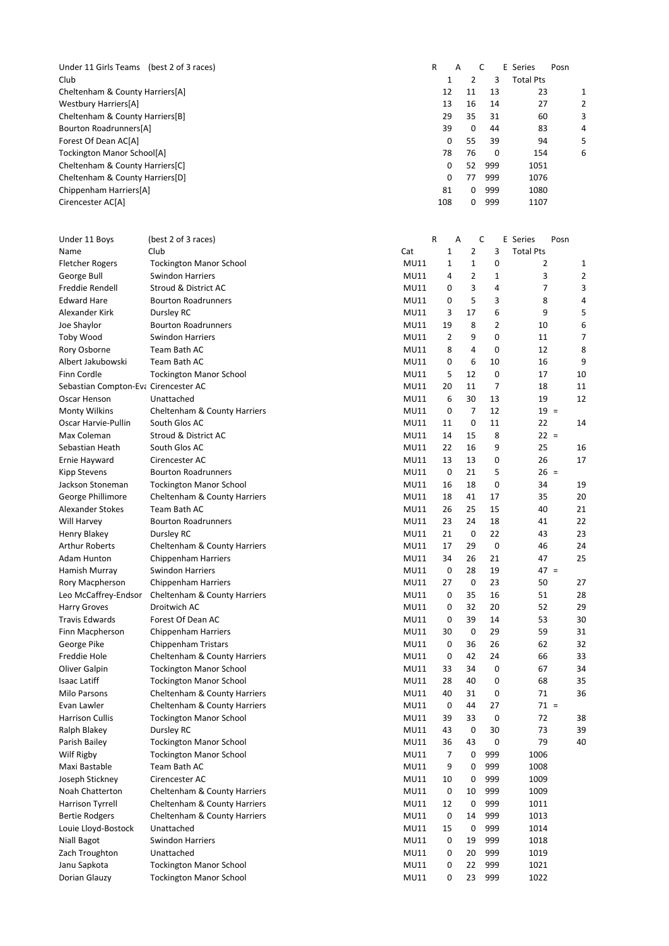| (best 2 of 3 races)<br>Under 11 Girls Teams | R   | A  |    |          | E Series<br>Posn |  |
|---------------------------------------------|-----|----|----|----------|------------------|--|
| Club                                        |     |    | າ  | 3        | <b>Total Pts</b> |  |
| Cheltenham & County Harriers[A]             |     | 12 | 11 | 13       | 23               |  |
| Westbury Harriers[A]                        |     | 13 | 16 | 14       | 27               |  |
| Cheltenham & County Harriers[B]             |     | 29 | 35 | 31       | 60               |  |
| Bourton Roadrunners[A]                      |     | 39 | 0  | 44       | 83               |  |
| Forest Of Dean AC[A]                        |     | 0  | 55 | 39       | 94               |  |
| Tockington Manor School[A]                  |     | 78 | 76 | $\Omega$ | 154              |  |
| Cheltenham & County Harriers[C]             |     | 0  | 52 | 999      | 1051             |  |
| Cheltenham & County Harriers[D]             |     | 0  | 77 | 999      | 1076             |  |
| Chippenham Harriers[A]                      |     | 81 | 0  | 999      | 1080             |  |
| Cirencester AC[A]                           | 108 |    | 0  | 999      | 1107             |  |

| Under 11 Boys                        | (best 2 of 3 races)            |                            | R           | A              | C         | E Series         | Posn           |
|--------------------------------------|--------------------------------|----------------------------|-------------|----------------|-----------|------------------|----------------|
| Name                                 | Club                           | Cat                        | $\mathbf 1$ | $\overline{2}$ | 3         | <b>Total Pts</b> |                |
| <b>Fletcher Rogers</b>               | <b>Tockington Manor School</b> | <b>MU11</b>                | $\mathbf 1$ | $\mathbf{1}$   | 0         | 2                | 1              |
| George Bull                          | <b>Swindon Harriers</b>        | <b>MU11</b>                | 4           | $\overline{2}$ | 1         | 3                |                |
| Freddie Rendell                      | Stroud & District AC           | <b>MU11</b>                | 0           | 3              | 4         | 7                |                |
| <b>Edward Hare</b>                   | <b>Bourton Roadrunners</b>     | <b>MU11</b>                | 0           | 5              | 3         | 8                |                |
| Alexander Kirk                       | Dursley RC                     | <b>MU11</b>                | 3           | 17             | 6         | 9                |                |
| Joe Shaylor                          | <b>Bourton Roadrunners</b>     | <b>MU11</b>                | 19          | 8              | 2         | 10               | Е              |
| Toby Wood                            | Swindon Harriers               | <b>MU11</b>                | 2           | 9              | 0         | 11               | 7              |
| Rory Osborne                         | Team Bath AC                   | <b>MU11</b>                | 8           | 4              | 0         | 12               | ٤              |
| Albert Jakubowski                    | Team Bath AC                   | <b>MU11</b>                | 0           | 6              | 10        | 16               | c              |
| Finn Cordle                          | <b>Tockington Manor School</b> | <b>MU11</b>                | 5           | 12             | 0         | 17               | 10             |
| Sebastian Compton-Eva Cirencester AC |                                | <b>MU11</b>                | 20          | 11             | 7         | 18               | 11             |
| Oscar Henson                         | Unattached                     | <b>MU11</b>                | 6           | 30             | 13        | 19               | 12             |
| <b>Monty Wilkins</b>                 | Cheltenham & County Harriers   | <b>MU11</b>                | 0           | 7              | 12        | $19 =$           |                |
| Oscar Harvie-Pullin                  | South Glos AC                  | <b>MU11</b>                | 11          | 0              | 11        | 22               | 14             |
| Max Coleman                          | Stroud & District AC           | <b>MU11</b>                | 14          | 15             | 8         | $22 =$           |                |
| Sebastian Heath                      | South Glos AC                  | <b>MU11</b>                | 22          | 16             | 9         | 25               | 16             |
| Ernie Hayward                        | Cirencester AC                 | <b>MU11</b>                | 13          | 13             | 0         | 26               | 17             |
| Kipp Stevens                         | <b>Bourton Roadrunners</b>     | <b>MU11</b>                | 0           | 21             | 5         | $26 =$           |                |
| Jackson Stoneman                     | <b>Tockington Manor School</b> | <b>MU11</b>                | 16          | 18             | 0         | 34               | 1 <sup>c</sup> |
| George Phillimore                    | Cheltenham & County Harriers   | <b>MU11</b>                | 18          | 41             | 17        | 35               | 20             |
| Alexander Stokes                     | Team Bath AC                   | <b>MU11</b>                | 26          | 25             | 15        | 40               | 21             |
| Will Harvey                          | <b>Bourton Roadrunners</b>     | <b>MU11</b>                | 23          | 24             | 18        | 41               | 22             |
| Henry Blakey                         | Dursley RC                     | <b>MU11</b>                | 21          | 0              | 22        | 43               | 23             |
| <b>Arthur Roberts</b>                | Cheltenham & County Harriers   | <b>MU11</b>                | 17          | 29             | $\pmb{0}$ | 46               | 24             |
| Adam Hunton                          | <b>Chippenham Harriers</b>     | <b>MU11</b>                | 34          | 26             | 21        | 47               | 25             |
| Hamish Murray                        | <b>Swindon Harriers</b>        | <b>MU11</b>                | 0           | 28             | 19        | $47 =$           |                |
| Rory Macpherson                      | Chippenham Harriers            | <b>MU11</b>                | 27          | 0              | 23        | 50               | 27             |
| Leo McCaffrey-Endsor                 | Cheltenham & County Harriers   | <b>MU11</b>                | 0           | 35             | 16        | 51               | 28             |
|                                      | Droitwich AC                   | <b>MU11</b>                | 0           | 32             | 20        | 52               | 2S             |
| <b>Harry Groves</b>                  |                                |                            |             |                |           |                  |                |
| <b>Travis Edwards</b>                | Forest Of Dean AC              | <b>MU11</b><br><b>MU11</b> | 0           | 39<br>0        | 14<br>29  | 53<br>59         | 30             |
| Finn Macpherson                      | Chippenham Harriers            | <b>MU11</b>                | 30<br>0     | 36             | 26        | 62               | 31<br>32       |
| George Pike                          | Chippenham Tristars            |                            | 0           | 42             | 24        | 66               | 33             |
| Freddie Hole                         | Cheltenham & County Harriers   | <b>MU11</b>                |             |                |           | 67               |                |
| Oliver Galpin                        | <b>Tockington Manor School</b> | <b>MU11</b>                | 33          | 34             | 0         |                  | 34             |
| <b>Isaac Latiff</b>                  | <b>Tockington Manor School</b> | <b>MU11</b>                | 28          | 40             | 0         | 68               | 35             |
| Milo Parsons                         | Cheltenham & County Harriers   | <b>MU11</b>                | 40          | 31             | 0         | 71               | 36             |
| Evan Lawler                          | Cheltenham & County Harriers   | <b>MU11</b>                | 0           | 44             | 27        | $71 =$           |                |
| <b>Harrison Cullis</b>               | <b>Tockington Manor School</b> | <b>MU11</b>                | 39          | 33             | 0         | 72               | 38             |
| Ralph Blakey                         | Dursley RC                     | <b>MU11</b>                | 43          | 0              | 30        | 73               | 39             |
| Parish Bailey                        | <b>Tockington Manor School</b> | <b>MU11</b>                | 36          | 43             | 0         | 79               | 40             |
| Wilf Rigby                           | <b>Tockington Manor School</b> | MU11                       | 7           | 0              | 999       | 1006             |                |
| Maxi Bastable                        | Team Bath AC                   | <b>MU11</b>                | 9           | 0              | 999       | 1008             |                |
| Joseph Stickney                      | Cirencester AC                 | <b>MU11</b>                | 10          | 0              | 999       | 1009             |                |
| Noah Chatterton                      | Cheltenham & County Harriers   | <b>MU11</b>                | 0           | 10             | 999       | 1009             |                |
| Harrison Tyrrell                     | Cheltenham & County Harriers   | <b>MU11</b>                | 12          | 0              | 999       | 1011             |                |
| <b>Bertie Rodgers</b>                | Cheltenham & County Harriers   | <b>MU11</b>                | 0           | 14             | 999       | 1013             |                |
| Louie Lloyd-Bostock                  | Unattached                     | <b>MU11</b>                | 15          | 0              | 999       | 1014             |                |
| Niall Bagot                          | Swindon Harriers               | <b>MU11</b>                | 0           | 19             | 999       | 1018             |                |
| Zach Troughton                       | Unattached                     | <b>MU11</b>                | 0           | 20             | 999       | 1019             |                |
| Janu Sapkota                         | <b>Tockington Manor School</b> | <b>MU11</b>                | 0           | 22             | 999       | 1021             |                |
| Dorian Glauzy                        | <b>Tockington Manor School</b> | MU11                       | 0           | 23             | 999       | 1022             |                |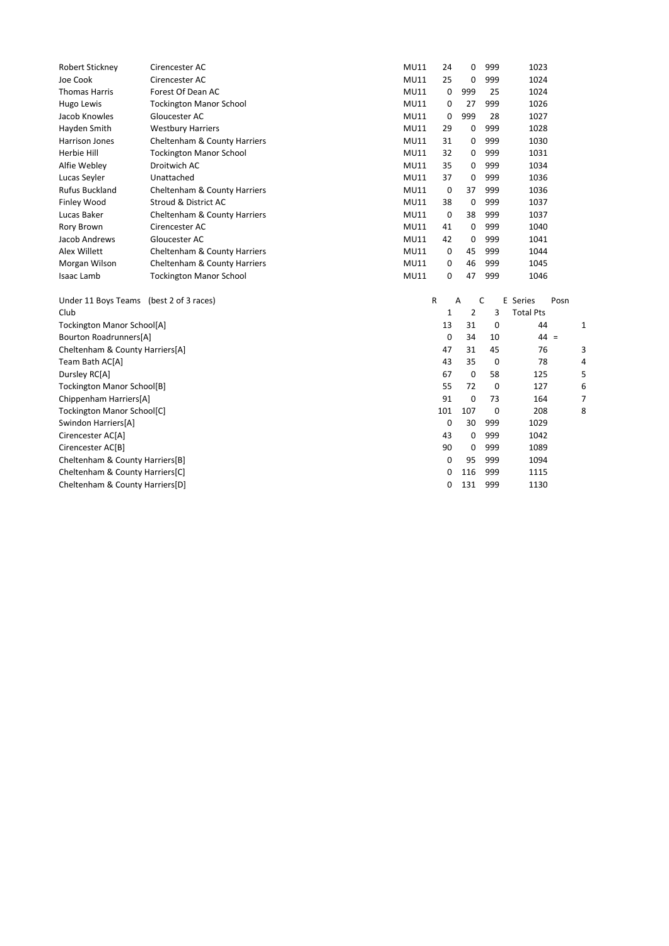| <b>Robert Stickney</b>                  | Cirencester AC                 | <b>MU11</b> | 24          | 0              | 999 | 1023             |      |   |
|-----------------------------------------|--------------------------------|-------------|-------------|----------------|-----|------------------|------|---|
| Joe Cook                                | Cirencester AC                 | <b>MU11</b> | 25          | 0              | 999 | 1024             |      |   |
| <b>Thomas Harris</b>                    | Forest Of Dean AC              | <b>MU11</b> | $\mathbf 0$ | 999            | 25  | 1024             |      |   |
| Hugo Lewis                              | <b>Tockington Manor School</b> | <b>MU11</b> | 0           | 27             | 999 | 1026             |      |   |
| Jacob Knowles                           | Gloucester AC                  | <b>MU11</b> | 0           | 999            | 28  | 1027             |      |   |
| Hayden Smith                            | <b>Westbury Harriers</b>       | <b>MU11</b> | 29          | 0              | 999 | 1028             |      |   |
| <b>Harrison Jones</b>                   | Cheltenham & County Harriers   | <b>MU11</b> | 31          | 0              | 999 | 1030             |      |   |
| Herbie Hill                             | <b>Tockington Manor School</b> | <b>MU11</b> | 32          | 0              | 999 | 1031             |      |   |
| Alfie Webley                            | Droitwich AC                   | MU11        | 35          | 0              | 999 | 1034             |      |   |
| Lucas Seyler                            | Unattached                     | MU11        | 37          | 0              | 999 | 1036             |      |   |
| <b>Rufus Buckland</b>                   | Cheltenham & County Harriers   | <b>MU11</b> | 0           | 37             | 999 | 1036             |      |   |
| Finley Wood                             | Stroud & District AC           | <b>MU11</b> | 38          | 0              | 999 | 1037             |      |   |
| Lucas Baker                             | Cheltenham & County Harriers   | <b>MU11</b> | 0           | 38             | 999 | 1037             |      |   |
| Rory Brown                              | Cirencester AC                 | <b>MU11</b> | 41          | 0              | 999 | 1040             |      |   |
| Jacob Andrews                           | Gloucester AC                  | <b>MU11</b> | 42          | 0              | 999 | 1041             |      |   |
| Alex Willett                            | Cheltenham & County Harriers   | MU11        | 0           | 45             | 999 | 1044             |      |   |
| Morgan Wilson                           | Cheltenham & County Harriers   | <b>MU11</b> | 0           | 46             | 999 | 1045             |      |   |
| <b>Isaac Lamb</b>                       | <b>Tockington Manor School</b> | <b>MU11</b> | 0           | 47             | 999 | 1046             |      |   |
| Under 11 Boys Teams (best 2 of 3 races) |                                |             | R           | A              | C   | E Series         | Posn |   |
| Club                                    |                                |             | 1           | $\overline{2}$ | 3   | <b>Total Pts</b> |      |   |
| <b>Tockington Manor School[A]</b>       |                                |             | 13          | 31             | 0   | 44               |      | 1 |
| Bourton Roadrunners[A]                  |                                |             | 0           | 34             | 10  | $44 =$           |      |   |
| Cheltenham & County Harriers[A]         |                                |             | 47          | 31             | 45  | 76               |      | З |
| Team Bath AC[A]                         |                                |             | 43          | 35             | 0   | 78               |      | 4 |
| Dursley RC[A]                           |                                |             | 67          | 0              | 58  | 125              |      | 5 |
| Tockington Manor School[B]              |                                |             | 55          | 72             | 0   | 127              |      | Є |
| Chippenham Harriers[A]                  |                                |             | 91          | 0              | 73  | 164              |      | 7 |
| Tockington Manor School[C]              |                                |             | 101         | 107            | 0   | 208              |      | ٤ |
| Swindon Harriers[A]                     |                                |             | 0           | 30             | 999 | 1029             |      |   |
| Cirencester AC[A]                       |                                |             | 43          | 0              | 999 | 1042             |      |   |
| Cirencester AC[B]                       |                                |             | 90          | 0              | 999 | 1089             |      |   |
| Cheltenham & County Harriers[B]         |                                |             | 0           | 95             | 999 | 1094             |      |   |
| Cheltenham & County Harriers[C]         |                                |             | 0           | 116            | 999 | 1115             |      |   |
| Cheltenham & County Harriers[D]         |                                |             | 0           | 131            | 999 | 1130             |      |   |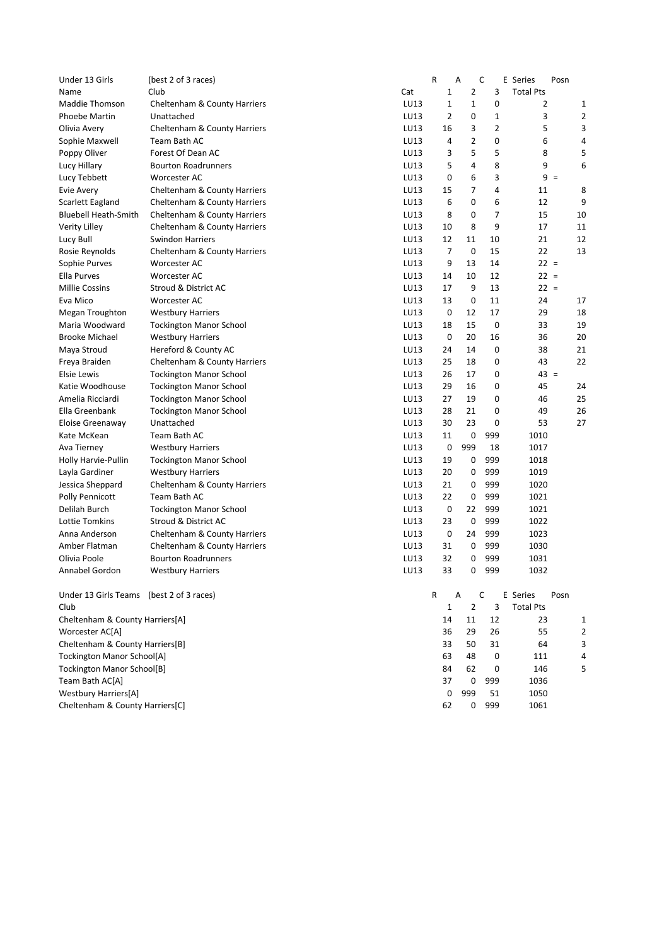| Under 13 Girls                           | (best 2 of 3 races)            |      | R              | A              | C   | E Series         | Posn           |
|------------------------------------------|--------------------------------|------|----------------|----------------|-----|------------------|----------------|
| Name                                     | Club                           | Cat  | $\mathbf 1$    | 2              | 3   | <b>Total Pts</b> |                |
| Maddie Thomson                           | Cheltenham & County Harriers   | LU13 | 1              | 1              | 0   | 2                | 1              |
| <b>Phoebe Martin</b>                     | Unattached                     | LU13 | 2              | 0              | 1   | 3                | 2              |
| Olivia Avery                             | Cheltenham & County Harriers   | LU13 | 16             | 3              | 2   | 5                | 3              |
| Sophie Maxwell                           | Team Bath AC                   | LU13 | 4              | 2              | 0   | 6                | 4              |
| Poppy Oliver                             | Forest Of Dean AC              | LU13 | 3              | 5              | 5   | 8                | 5              |
| Lucy Hillary                             | <b>Bourton Roadrunners</b>     | LU13 | 5              | 4              | 8   | 9                | 6              |
| Lucy Tebbett                             | Worcester AC                   | LU13 | 0              | 6              | 3   | $9 =$            |                |
| Evie Avery                               | Cheltenham & County Harriers   | LU13 | 15             | 7              | 4   | 11               | 8              |
| Scarlett Eagland                         | Cheltenham & County Harriers   | LU13 | 6              | 0              | 6   | 12               | 9              |
| <b>Bluebell Heath-Smith</b>              | Cheltenham & County Harriers   | LU13 | 8              | 0              | 7   | 15               | 10             |
| Verity Lilley                            | Cheltenham & County Harriers   | LU13 | 10             | 8              | 9   | 17               | 11             |
| Lucy Bull                                | <b>Swindon Harriers</b>        | LU13 | 12             | 11             | 10  | 21               | 12             |
| Rosie Reynolds                           | Cheltenham & County Harriers   | LU13 | $\overline{7}$ | $\mathbf 0$    | 15  | 22               | 13             |
| Sophie Purves                            | Worcester AC                   | LU13 | 9              | 13             | 14  | $22 =$           |                |
| Ella Purves                              | Worcester AC                   | LU13 | 14             | 10             | 12  | $22 =$           |                |
| <b>Millie Cossins</b>                    | Stroud & District AC           | LU13 | 17             | 9              | 13  | $22 =$           |                |
| Eva Mico                                 | Worcester AC                   | LU13 | 13             | 0              | 11  | 24               | 17             |
| Megan Troughton                          | <b>Westbury Harriers</b>       | LU13 | 0              | 12             | 17  | 29               | 18             |
| Maria Woodward                           | <b>Tockington Manor School</b> | LU13 | 18             | 15             | 0   | 33               | 19             |
| <b>Brooke Michael</b>                    | <b>Westbury Harriers</b>       | LU13 | 0              | 20             | 16  | 36               | 20             |
| Maya Stroud                              | Hereford & County AC           | LU13 | 24             | 14             | 0   | 38               | 21             |
| Freya Braiden                            | Cheltenham & County Harriers   | LU13 | 25             | 18             | 0   | 43               | 22             |
| <b>Elsie Lewis</b>                       | <b>Tockington Manor School</b> | LU13 | 26             | 17             | 0   | $43 =$           |                |
| Katie Woodhouse                          | <b>Tockington Manor School</b> | LU13 | 29             | 16             | 0   | 45               | 24             |
| Amelia Ricciardi                         | <b>Tockington Manor School</b> | LU13 | 27             | 19             | 0   | 46               | 25             |
| Ella Greenbank                           | <b>Tockington Manor School</b> | LU13 | 28             | 21             | 0   | 49               | 26             |
| Eloise Greenaway                         | Unattached                     | LU13 | 30             | 23             | 0   | 53               | 27             |
| Kate McKean                              | Team Bath AC                   | LU13 | 11             | 0              | 999 | 1010             |                |
| Ava Tierney                              | <b>Westbury Harriers</b>       | LU13 | 0              | 999            | 18  | 1017             |                |
| Holly Harvie-Pullin                      | <b>Tockington Manor School</b> | LU13 | 19             | 0              | 999 | 1018             |                |
| Layla Gardiner                           | <b>Westbury Harriers</b>       | LU13 | 20             | 0              | 999 | 1019             |                |
| Jessica Sheppard                         | Cheltenham & County Harriers   | LU13 | 21             | 0              | 999 | 1020             |                |
| <b>Polly Pennicott</b>                   | Team Bath AC                   | LU13 | 22             | 0              | 999 | 1021             |                |
| Delilah Burch                            | <b>Tockington Manor School</b> | LU13 | 0              | 22             | 999 | 1021             |                |
| Lottie Tomkins                           | Stroud & District AC           | LU13 | 23             | 0              | 999 | 1022             |                |
| Anna Anderson                            | Cheltenham & County Harriers   | LU13 | 0              | 24             | 999 | 1023             |                |
| Amber Flatman                            | Cheltenham & County Harriers   | LU13 | 31             | 0              | 999 | 1030             |                |
| Olivia Poole                             | <b>Bourton Roadrunners</b>     | LU13 | 32             | 0              | 999 | 1031             |                |
| Annabel Gordon                           | <b>Westbury Harriers</b>       | LU13 | 33             | 0              | 999 | 1032             |                |
| Under 13 Girls Teams (best 2 of 3 races) |                                |      | R              | Α              | C   | E Series         | Posn           |
| Club                                     |                                |      | 1              | $\overline{2}$ | 3   | <b>Total Pts</b> |                |
| Cheltenham & County Harriers[A]          |                                |      | 14             | 11             | 12  | 23               | 1              |
| Worcester AC[A]                          |                                |      | 36             | 29             | 26  | 55               | $\overline{2}$ |
| Cheltenham & County Harriers[B]          |                                |      | 33             | 50             | 31  | 64               | 3              |
| Tockington Manor School[A]               |                                |      | 63             | 48             | 0   | 111              | 4              |
| <b>Tockington Manor School[B]</b>        |                                |      | 84             | 62             | 0   | 146              | 5              |
| Team Bath AC[A]                          |                                |      | 37             | 0              | 999 | 1036             |                |
| <b>Westbury Harriers[A]</b>              |                                |      | 0              | 999            | 51  | 1050             |                |
| Cheltenham & County Harriers[C]          |                                |      | 62             | 0              | 999 | 1061             |                |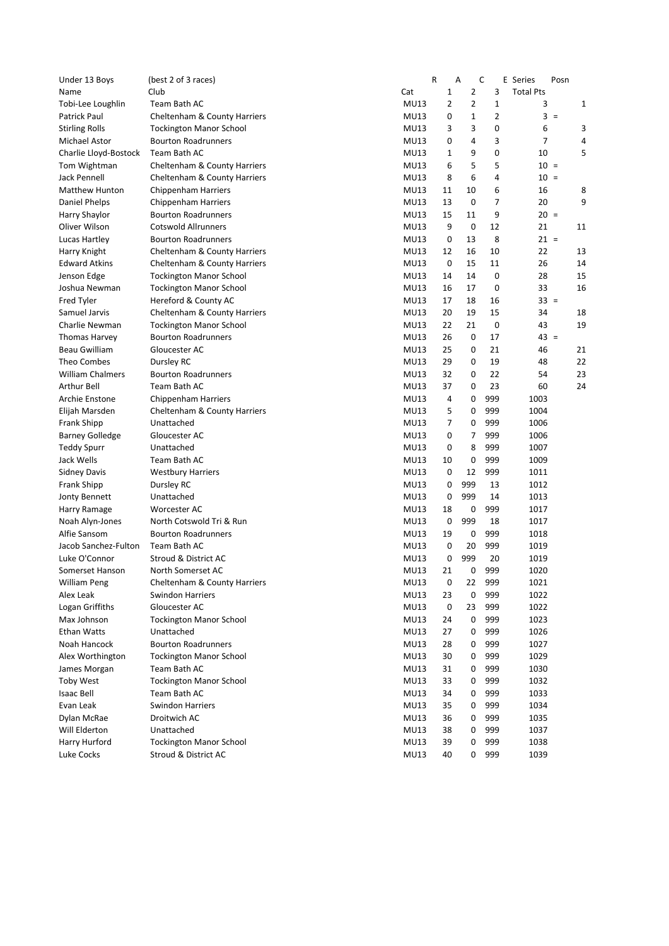| Under 13 Boys           | (best 2 of 3 races)            |                            | ${\sf R}$      | Α              | C   | E Series         | Posn   |    |
|-------------------------|--------------------------------|----------------------------|----------------|----------------|-----|------------------|--------|----|
| Name                    | Club                           | Cat                        | 1              | $\overline{2}$ | 3   | <b>Total Pts</b> |        |    |
| Tobi-Lee Loughlin       | Team Bath AC                   | <b>MU13</b>                | $\overline{2}$ | $\overline{2}$ | 1   | 3                |        | 1  |
| Patrick Paul            | Cheltenham & County Harriers   | <b>MU13</b>                | 0              | 1              | 2   |                  | $3 =$  |    |
| <b>Stirling Rolls</b>   | <b>Tockington Manor School</b> | <b>MU13</b>                | 3              | 3              | 0   | 6                |        | 3  |
| Michael Astor           | <b>Bourton Roadrunners</b>     | <b>MU13</b>                | 0              | 4              | 3   | 7                |        | 4  |
| Charlie Lloyd-Bostock   | Team Bath AC                   | <b>MU13</b>                | 1              | 9              | 0   | 10               |        | 5  |
| Tom Wightman            | Cheltenham & County Harriers   | <b>MU13</b>                | 6              | 5              | 5   | $10 =$           |        |    |
| Jack Pennell            | Cheltenham & County Harriers   | <b>MU13</b>                | 8              | 6              | 4   | $10 =$           |        |    |
| <b>Matthew Hunton</b>   | <b>Chippenham Harriers</b>     | <b>MU13</b>                | 11             | 10             | 6   | 16               |        | 8  |
| Daniel Phelps           | Chippenham Harriers            | <b>MU13</b>                | 13             | $\mathbf 0$    | 7   | 20               |        | 9  |
| Harry Shaylor           | <b>Bourton Roadrunners</b>     | <b>MU13</b>                | 15             | 11             | 9   | $20 =$           |        |    |
| Oliver Wilson           | <b>Cotswold Allrunners</b>     | <b>MU13</b>                | 9              | 0              | 12  | 21               |        | 11 |
| Lucas Hartley           | <b>Bourton Roadrunners</b>     | <b>MU13</b>                | 0              | 13             | 8   | $21 =$           |        |    |
| Harry Knight            | Cheltenham & County Harriers   | <b>MU13</b>                | 12             | 16             | 10  | 22               |        | 13 |
| <b>Edward Atkins</b>    | Cheltenham & County Harriers   | <b>MU13</b>                | 0              | 15             | 11  | 26               |        | 14 |
| Jenson Edge             | <b>Tockington Manor School</b> | <b>MU13</b>                | 14             | 14             | 0   | 28               |        | 15 |
| Joshua Newman           | <b>Tockington Manor School</b> | <b>MU13</b>                | 16             | 17             | 0   | 33               |        | 16 |
| Fred Tyler              | Hereford & County AC           | <b>MU13</b>                | 17             | 18             | 16  |                  | $33 =$ |    |
| Samuel Jarvis           | Cheltenham & County Harriers   | <b>MU13</b>                | 20             | 19             | 15  | 34               |        | 18 |
| Charlie Newman          | <b>Tockington Manor School</b> | <b>MU13</b>                | 22             | 21             | 0   | 43               |        | 19 |
| <b>Thomas Harvey</b>    | <b>Bourton Roadrunners</b>     | <b>MU13</b>                | 26             | 0              | 17  | $43 =$           |        |    |
|                         | Gloucester AC                  |                            |                |                |     |                  |        |    |
| Beau Gwilliam           |                                | <b>MU13</b><br><b>MU13</b> | 25             | 0              | 21  | 46               |        | 21 |
| Theo Combes             | Dursley RC                     |                            | 29             | 0              | 19  | 48               |        | 22 |
| <b>William Chalmers</b> | <b>Bourton Roadrunners</b>     | <b>MU13</b>                | 32             | 0              | 22  | 54               |        | 23 |
| <b>Arthur Bell</b>      | Team Bath AC                   | <b>MU13</b>                | 37             | 0              | 23  | 60               |        | 24 |
| Archie Enstone          | Chippenham Harriers            | <b>MU13</b>                | 4              | 0              | 999 | 1003             |        |    |
| Elijah Marsden          | Cheltenham & County Harriers   | <b>MU13</b>                | 5              | 0              | 999 | 1004             |        |    |
| Frank Shipp             | Unattached                     | <b>MU13</b>                | 7              | 0              | 999 | 1006             |        |    |
| <b>Barney Golledge</b>  | Gloucester AC                  | <b>MU13</b>                | 0              | 7              | 999 | 1006             |        |    |
| <b>Teddy Spurr</b>      | Unattached                     | <b>MU13</b>                | 0              | 8              | 999 | 1007             |        |    |
| Jack Wells              | Team Bath AC                   | <b>MU13</b>                | 10             | 0              | 999 | 1009             |        |    |
| <b>Sidney Davis</b>     | <b>Westbury Harriers</b>       | <b>MU13</b>                | 0              | 12             | 999 | 1011             |        |    |
| Frank Shipp             | Dursley RC                     | <b>MU13</b>                | 0              | 999            | 13  | 1012             |        |    |
| Jonty Bennett           | Unattached                     | <b>MU13</b>                | 0              | 999            | 14  | 1013             |        |    |
| Harry Ramage            | Worcester AC                   | <b>MU13</b>                | 18             | 0              | 999 | 1017             |        |    |
| Noah Alyn-Jones         | North Cotswold Tri & Run       | <b>MU13</b>                | 0              | 999            | 18  | 1017             |        |    |
| Alfie Sansom            | <b>Bourton Roadrunners</b>     | <b>MU13</b>                | 19             | 0              | 999 | 1018             |        |    |
| Jacob Sanchez-Fulton    | Team Bath AC                   | <b>MU13</b>                | 0              | 20             | 999 | 1019             |        |    |
| Luke O'Connor           | Stroud & District AC           | <b>MU13</b>                | 0              | 999            | 20  | 1019             |        |    |
| Somerset Hanson         | North Somerset AC              | <b>MU13</b>                | 21             | 0              | 999 | 1020             |        |    |
| William Peng            | Cheltenham & County Harriers   | <b>MU13</b>                | 0              | 22             | 999 | 1021             |        |    |
| Alex Leak               | Swindon Harriers               | <b>MU13</b>                | 23             | 0              | 999 | 1022             |        |    |
| Logan Griffiths         | Gloucester AC                  | <b>MU13</b>                | 0              | 23             | 999 | 1022             |        |    |
| Max Johnson             | <b>Tockington Manor School</b> | <b>MU13</b>                | 24             | 0              | 999 | 1023             |        |    |
| <b>Ethan Watts</b>      | Unattached                     | <b>MU13</b>                | 27             | 0              | 999 | 1026             |        |    |
| Noah Hancock            | <b>Bourton Roadrunners</b>     | <b>MU13</b>                | 28             | 0              | 999 | 1027             |        |    |
| Alex Worthington        | <b>Tockington Manor School</b> | <b>MU13</b>                | 30             | 0              | 999 | 1029             |        |    |
| James Morgan            | Team Bath AC                   | <b>MU13</b>                | 31             | 0              | 999 | 1030             |        |    |
| <b>Toby West</b>        | <b>Tockington Manor School</b> | <b>MU13</b>                | 33             | 0              | 999 | 1032             |        |    |
| <b>Isaac Bell</b>       | Team Bath AC                   | <b>MU13</b>                | 34             | 0              | 999 | 1033             |        |    |
| Evan Leak               | <b>Swindon Harriers</b>        | <b>MU13</b>                | 35             | 0              | 999 | 1034             |        |    |
| Dylan McRae             | Droitwich AC                   | <b>MU13</b>                | 36             | 0              | 999 | 1035             |        |    |
| Will Elderton           | Unattached                     | <b>MU13</b>                | 38             | 0              | 999 | 1037             |        |    |
| Harry Hurford           | <b>Tockington Manor School</b> | <b>MU13</b>                | 39             | 0              | 999 | 1038             |        |    |
| Luke Cocks              | Stroud & District AC           | <b>MU13</b>                | 40             | 0              | 999 | 1039             |        |    |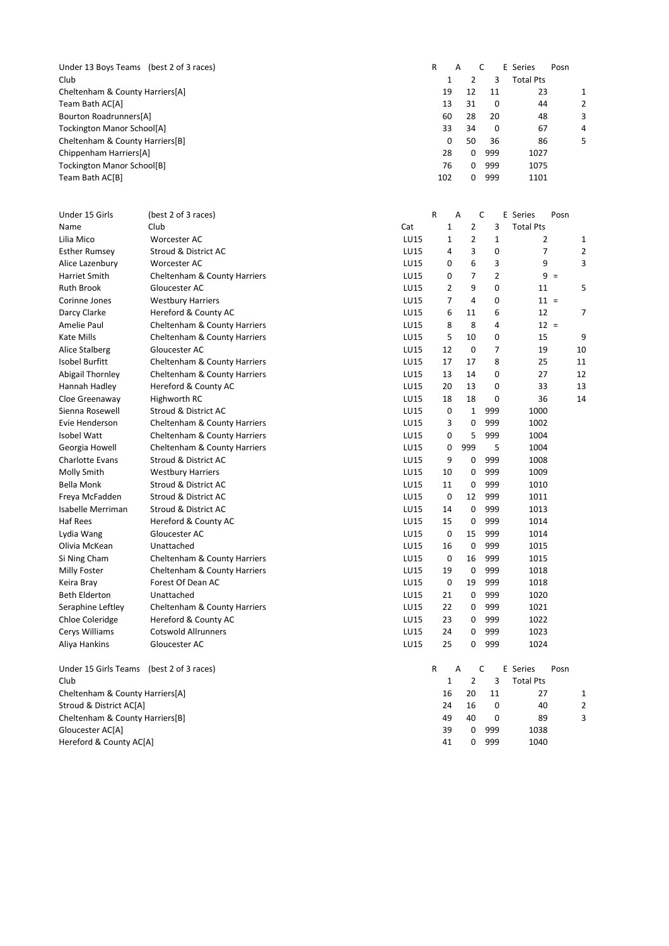Under 13 Boys Teams (best 2 of 3 races) <br>
Club 1 2 3 Total Pts 1 2 3 Total Pts<br>19 12 11 23 Cheltenham & County Harriers[A] 19 12 11 23 1 Team Bath AC[A] 13 31 0 44 2<br>Bourton Roadrunners[A] 60 28 20 48 3 Bourton Roadrunners[A] 60 28 20 48 3<br>Tockington Manor School[A] 60 28 20 48 3<br>Chalkenham 8 60 11 11 12 12 13 14 0 67 4 Tockington Manor School[A] <br>
Cheltenham & County Harriers[B] 
and the county of the county of the county of the county of the county of the county of the county of the county of the county of the county of the county of th Cheltenham & County Harriers[B] 0 50 36 86 5 Chippenham Harriers[A] 28 0 999 1027<br>
Tockington Manor School[B] 28 0 999 1075 Tockington Manor School[B] <br>
Team Bath AC[B] 1075<br>
102 0 999 1101 102 0 999

| Under 15 Girls                  | (best 2 of 3 races)          |             | R            | Α   | C              |                | E Series         | Posn  |                |
|---------------------------------|------------------------------|-------------|--------------|-----|----------------|----------------|------------------|-------|----------------|
| Name                            | Club                         | Cat         | $\mathbf{1}$ |     | $\overline{2}$ | 3              | <b>Total Pts</b> |       |                |
| Lilia Mico                      | Worcester AC                 | LU15        | $\mathbf 1$  |     | $\overline{2}$ | $\mathbf{1}$   | $\overline{2}$   |       | 1              |
| <b>Esther Rumsey</b>            | Stroud & District AC         | LU15        | 4            |     | 3              | 0              | 7                |       | $\overline{2}$ |
| Alice Lazenbury                 | Worcester AC                 | LU15        | 0            |     | 6              | 3              | 9                |       | 3              |
| Harriet Smith                   | Cheltenham & County Harriers | LU15        | 0            |     | $\overline{7}$ | $\overline{2}$ |                  | $9 =$ |                |
| Ruth Brook                      | Gloucester AC                | LU15        | 2            |     | 9              | 0              | 11               |       | 5              |
| Corinne Jones                   | <b>Westbury Harriers</b>     | LU15        | 7            |     | 4              | 0              | $11 =$           |       |                |
| Darcy Clarke                    | Hereford & County AC         | LU15        | 6            |     | 11             | 6              | 12               |       | 7              |
| Amelie Paul                     | Cheltenham & County Harriers | LU15        | 8            |     | 8              | 4              | $12 =$           |       |                |
| Kate Mills                      | Cheltenham & County Harriers | LU15        | 5            |     | 10             | 0              | 15               |       | 9              |
| Alice Stalberg                  | Gloucester AC                | LU15        | 12           |     | 0              | 7              | 19               |       | 10             |
| Isobel Burfitt                  | Cheltenham & County Harriers | LU15        | 17           |     | 17             | 8              | 25               |       | 11             |
| Abigail Thornley                | Cheltenham & County Harriers | LU15        | 13           |     | 14             | 0              | 27               |       | 12             |
| Hannah Hadley                   | Hereford & County AC         | LU15        | 20           |     | 13             | 0              | 33               |       | 13             |
| Cloe Greenaway                  | Highworth RC                 | LU15        | 18           |     | 18             | 0              | 36               |       | 14             |
| Sienna Rosewell                 | Stroud & District AC         | <b>LU15</b> | 0            |     | 1              | 999            | 1000             |       |                |
| Evie Henderson                  | Cheltenham & County Harriers | LU15        | 3            |     | 0              | 999            | 1002             |       |                |
| Isobel Watt                     | Cheltenham & County Harriers | LU15        | 0            |     | 5              | 999            | 1004             |       |                |
| Georgia Howell                  | Cheltenham & County Harriers | LU15        | 0            | 999 |                | 5              | 1004             |       |                |
| <b>Charlotte Evans</b>          | Stroud & District AC         | <b>LU15</b> | 9            |     | 0              | 999            | 1008             |       |                |
| Molly Smith                     | <b>Westbury Harriers</b>     | LU15        | 10           |     | 0              | 999            | 1009             |       |                |
| <b>Bella Monk</b>               | Stroud & District AC         | LU15        | 11           |     | 0              | 999            | 1010             |       |                |
| Freya McFadden                  | Stroud & District AC         | LU15        | 0            |     | 12             | 999            | 1011             |       |                |
| Isabelle Merriman               | Stroud & District AC         | LU15        | 14           |     | 0              | 999            | 1013             |       |                |
| Haf Rees                        | Hereford & County AC         | LU15        | 15           |     | 0              | 999            | 1014             |       |                |
| Lydia Wang                      | Gloucester AC                | LU15        | 0            |     | 15             | 999            | 1014             |       |                |
| Olivia McKean                   | Unattached                   | LU15        | 16           |     | 0              | 999            | 1015             |       |                |
| Si Ning Cham                    | Cheltenham & County Harriers | <b>LU15</b> | 0            |     | 16             | 999            | 1015             |       |                |
| Milly Foster                    | Cheltenham & County Harriers | LU15        | 19           |     | 0              | 999            | 1018             |       |                |
| Keira Bray                      | Forest Of Dean AC            | LU15        | 0            |     | 19             | 999            | 1018             |       |                |
| <b>Beth Elderton</b>            | Unattached                   | <b>LU15</b> | 21           |     | 0              | 999            | 1020             |       |                |
| Seraphine Leftley               | Cheltenham & County Harriers | LU15        | 22           |     | 0              | 999            | 1021             |       |                |
| <b>Chloe Coleridge</b>          | Hereford & County AC         | <b>LU15</b> | 23           |     | 0              | 999            | 1022             |       |                |
| Cerys Williams                  | <b>Cotswold Allrunners</b>   | <b>LU15</b> | 24           |     | 0              | 999            | 1023             |       |                |
| Aliya Hankins                   | Gloucester AC                | LU15        | 25           |     | 0              | 999            | 1024             |       |                |
| Under 15 Girls Teams            | (best 2 of 3 races)          |             | R            | Α   | C              |                | E Series         | Posn  |                |
| Club                            |                              |             | 1            |     | $\overline{2}$ | 3              | <b>Total Pts</b> |       |                |
| Cheltenham & County Harriers[A] |                              |             | 16           |     | 20             | 11             | 27               |       | 1              |
| Stroud & District AC[A]         |                              |             | 24           |     | 16             | 0              | 40               |       | $\overline{2}$ |
| Cheltenham & County Harriers[B] |                              |             | 49           |     | 40             | 0              | 89               |       | 3              |
| Gloucester AC[A]                |                              |             | 39           |     | 0              | 999            | 1038             |       |                |
| Hereford & County AC[A]         |                              |             | 41           |     | 0              | 999            | 1040             |       |                |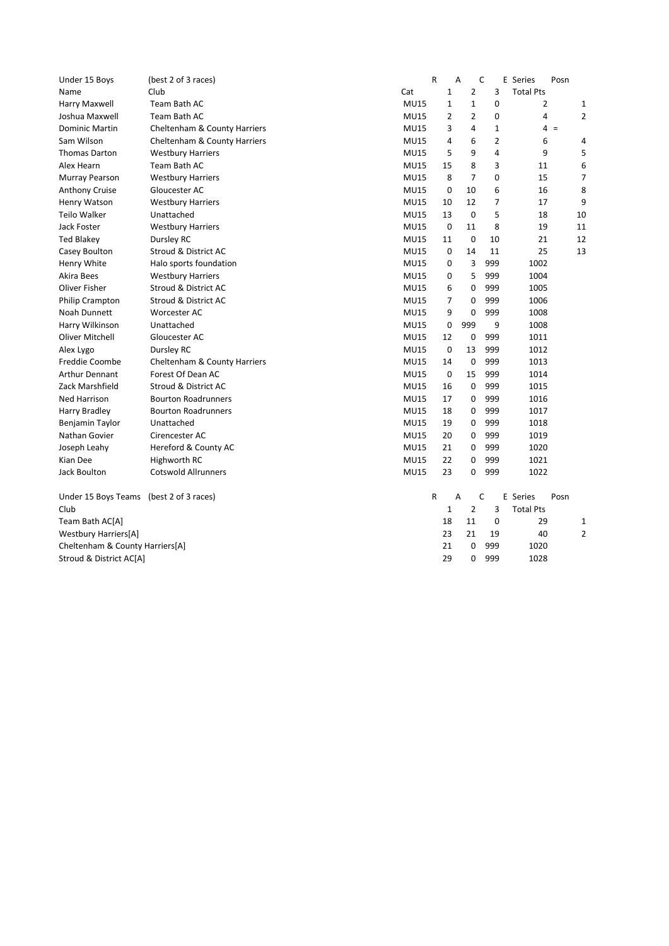| Under 15 Boys                   | (best 2 of 3 races)          |             | ${\sf R}$      | A              | C              |              | E Series         | Posn  |                |
|---------------------------------|------------------------------|-------------|----------------|----------------|----------------|--------------|------------------|-------|----------------|
| Name                            | Club                         | Cat         | $\mathbf 1$    |                | 2              | 3            | <b>Total Pts</b> |       |                |
| Harry Maxwell                   | Team Bath AC                 | <b>MU15</b> | $\mathbf{1}$   |                | $\mathbf{1}$   | 0            | $\overline{2}$   |       | 1              |
| Joshua Maxwell                  | Team Bath AC                 | <b>MU15</b> | $\overline{2}$ |                | $\overline{2}$ | 0            | 4                |       | $\overline{c}$ |
| <b>Dominic Martin</b>           | Cheltenham & County Harriers | <b>MU15</b> | 3              |                | 4              | $\mathbf{1}$ |                  | $4 =$ |                |
| Sam Wilson                      | Cheltenham & County Harriers | <b>MU15</b> | 4              |                | 6              | 2            | 6                |       | 4              |
| <b>Thomas Darton</b>            | <b>Westbury Harriers</b>     | <b>MU15</b> | 5              |                | 9              | 4            | 9                |       | 5              |
| Alex Hearn                      | Team Bath AC                 | <b>MU15</b> | 15             |                | 8              | 3            | 11               |       | 6              |
| Murray Pearson                  | <b>Westbury Harriers</b>     | <b>MU15</b> | 8              |                | $\overline{7}$ | 0            | 15               |       | 7              |
| <b>Anthony Cruise</b>           | Gloucester AC                | <b>MU15</b> | $\mathbf 0$    | 10             |                | 6            | 16               |       | 8              |
| Henry Watson                    | <b>Westbury Harriers</b>     | <b>MU15</b> | 10             | 12             |                | 7            | 17               |       | 9              |
| Teilo Walker                    | Unattached                   | <b>MU15</b> | 13             | 0              |                | 5            | 18               |       | 10             |
| Jack Foster                     | <b>Westbury Harriers</b>     | <b>MU15</b> | 0              | 11             |                | 8            | 19               |       | 11             |
| <b>Ted Blakey</b>               | Dursley RC                   | <b>MU15</b> | 11             |                | 0<br>10        |              | 21               |       | 12             |
| Casey Boulton                   | Stroud & District AC         | <b>MU15</b> | 0              | 14             | 11             |              | 25               |       | 13             |
| Henry White                     | Halo sports foundation       | <b>MU15</b> | 0              |                | 3<br>999       |              | 1002             |       |                |
| Akira Bees                      | <b>Westbury Harriers</b>     | <b>MU15</b> | 0              | 5              | 999            |              | 1004             |       |                |
| Oliver Fisher                   | Stroud & District AC         | <b>MU15</b> | 6              | 0              | 999            |              | 1005             |       |                |
| <b>Philip Crampton</b>          | Stroud & District AC         | <b>MU15</b> | 7              | 0              | 999            |              | 1006             |       |                |
| Noah Dunnett                    | Worcester AC                 | <b>MU15</b> | 9              | $\mathbf 0$    | 999            |              | 1008             |       |                |
| Harry Wilkinson                 | Unattached                   | <b>MU15</b> | 0              | 999            |                | 9            | 1008             |       |                |
| Oliver Mitchell                 | Gloucester AC                | <b>MU15</b> | 12             | 0              | 999            |              | 1011             |       |                |
| Alex Lygo                       | Dursley RC                   | <b>MU15</b> | 0              | 13             | 999            |              | 1012             |       |                |
| Freddie Coombe                  | Cheltenham & County Harriers | <b>MU15</b> | 14             | 0              | 999            |              | 1013             |       |                |
| Arthur Dennant                  | Forest Of Dean AC            | <b>MU15</b> | 0              | 15             | 999            |              | 1014             |       |                |
| Zack Marshfield                 | Stroud & District AC         | <b>MU15</b> | 16             | 0              | 999            |              | 1015             |       |                |
| <b>Ned Harrison</b>             | <b>Bourton Roadrunners</b>   | <b>MU15</b> | 17             | 0              | 999            |              | 1016             |       |                |
| Harry Bradley                   | <b>Bourton Roadrunners</b>   | <b>MU15</b> | 18             | 0              | 999            |              | 1017             |       |                |
| Benjamin Taylor                 | Unattached                   | <b>MU15</b> | 19             |                | 999<br>0       |              | 1018             |       |                |
| Nathan Govier                   | Cirencester AC               | <b>MU15</b> | 20             |                | 999<br>0       |              | 1019             |       |                |
| Joseph Leahy                    | Hereford & County AC         | <b>MU15</b> | 21             | 0              | 999            |              | 1020             |       |                |
| Kian Dee                        | Highworth RC                 | <b>MU15</b> | 22             | 0              | 999            |              | 1021             |       |                |
| Jack Boulton                    | <b>Cotswold Allrunners</b>   | <b>MU15</b> | 23             |                | 999<br>0       |              | 1022             |       |                |
| Under 15 Boys Teams             | (best 2 of 3 races)          |             | $\mathsf{R}$   | A              | C              |              | E Series         | Posn  |                |
| Club                            |                              |             | 1              | $\overline{2}$ |                | 3            | <b>Total Pts</b> |       |                |
| Team Bath AC[A]                 |                              |             | 18             | 11             |                | 0            | 29               |       | $\mathbf{1}$   |
| <b>Westbury Harriers[A]</b>     |                              |             | 23             | 21             | 19             |              | 40               |       | $\overline{2}$ |
| Cheltenham & County Harriers[A] |                              |             | 21             | 0              | 999            |              | 1020             |       |                |
| Stroud & District AC[A]         |                              |             | 29             |                | 0<br>999       |              | 1028             |       |                |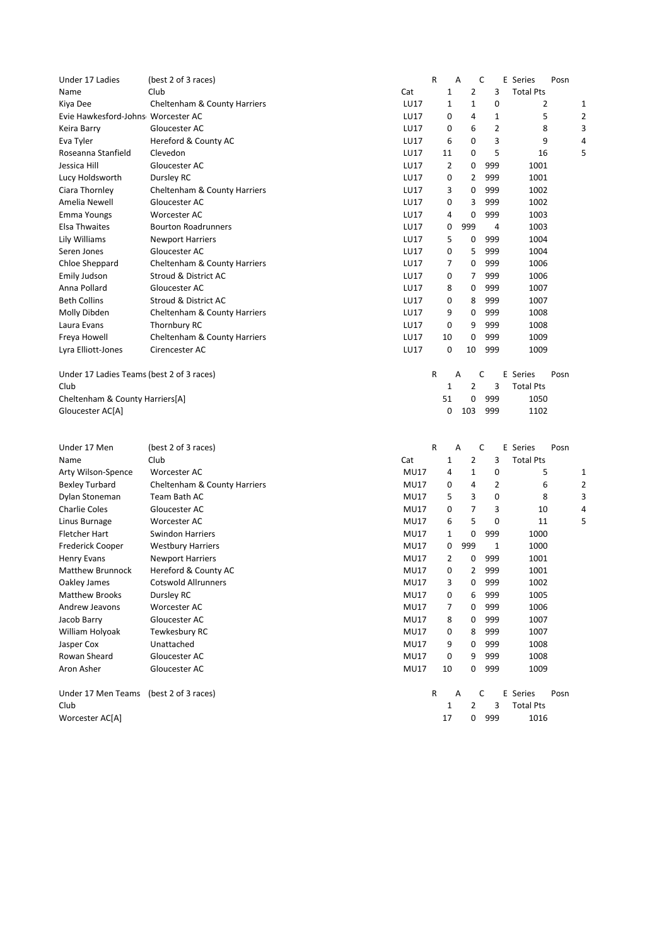| Under 17 Ladies                           | (best 2 of 3 races)          |             | R | A  |                | C              | E Series         | Posn |   |
|-------------------------------------------|------------------------------|-------------|---|----|----------------|----------------|------------------|------|---|
| Name                                      | Club                         | Cat         |   | 1  | $\overline{2}$ | 3              | <b>Total Pts</b> |      |   |
| Kiya Dee                                  | Cheltenham & County Harriers | LU17        |   | 1  | 1              | 0              | 2                |      | 1 |
| Evie Hawkesford-Johns Worcester AC        |                              | LU17        |   | 0  | 4              | 1              | 5                |      | 2 |
| Keira Barry                               | Gloucester AC                | LU17        |   | 0  | 6              | 2              | 8                |      | 3 |
| Eva Tyler                                 | Hereford & County AC         | LU17        |   | 6  | 0              | 3              | 9                |      | 4 |
| Roseanna Stanfield                        | Clevedon                     | LU17        |   | 11 | 0              | 5              | 16               |      | 5 |
| Jessica Hill                              | Gloucester AC                | LU17        |   | 2  | 0              | 999            | 1001             |      |   |
| Lucy Holdsworth                           | Dursley RC                   | LU17        |   | 0  | $\overline{2}$ | 999            | 1001             |      |   |
| Ciara Thornley                            | Cheltenham & County Harriers | LU17        |   | 3  | 0              | 999            | 1002             |      |   |
| Amelia Newell                             | Gloucester AC                | LU17        |   | 0  | 3              | 999            | 1002             |      |   |
| Emma Youngs                               | <b>Worcester AC</b>          | LU17        |   | 4  | 0              | 999            | 1003             |      |   |
| Elsa Thwaites                             | <b>Bourton Roadrunners</b>   | LU17        |   | 0  | 999            | $\overline{4}$ | 1003             |      |   |
| Lily Williams                             | <b>Newport Harriers</b>      | LU17        |   | 5  | 0              | 999            | 1004             |      |   |
| Seren Jones                               | Gloucester AC                | LU17        |   | 0  | 5              | 999            | 1004             |      |   |
| Chloe Sheppard                            | Cheltenham & County Harriers | LU17        |   | 7  | 0              | 999            | 1006             |      |   |
| Emily Judson                              | Stroud & District AC         | LU17        |   | 0  | 7              | 999            | 1006             |      |   |
| Anna Pollard                              | Gloucester AC                | LU17        |   | 8  | 0              | 999            | 1007             |      |   |
| <b>Beth Collins</b>                       | Stroud & District AC         | LU17        |   | 0  | 8              | 999            | 1007             |      |   |
| Molly Dibden                              | Cheltenham & County Harriers | LU17        |   | 9  | 0              | 999            | 1008             |      |   |
| Laura Evans                               | Thornbury RC                 | LU17        |   | 0  | 9              | 999            | 1008             |      |   |
| Freya Howell                              | Cheltenham & County Harriers | LU17        |   | 10 | 0              | 999            | 1009             |      |   |
| Lyra Elliott-Jones                        | Cirencester AC               | LU17        |   | 0  | 10             | 999            | 1009             |      |   |
| Under 17 Ladies Teams (best 2 of 3 races) |                              |             | R | A  |                | C              | E Series         | Posn |   |
| Club                                      |                              |             |   | 1  | $\overline{2}$ | 3              | <b>Total Pts</b> |      |   |
| Cheltenham & County Harriers[A]           |                              |             |   | 51 | 0              | 999            | 1050             |      |   |
| Gloucester AC[A]                          |                              |             |   | 0  | 103            | 999            | 1102             |      |   |
|                                           |                              |             |   |    |                |                |                  |      |   |
| Under 17 Men                              | (best 2 of 3 races)          |             | R | A  |                | C              | E Series         | Posn |   |
| Name                                      | Club                         | Cat         |   | 1  | 2              | 3              | <b>Total Pts</b> |      |   |
| Arty Wilson-Spence                        | <b>Worcester AC</b>          | <b>MU17</b> |   | 4  | 1              | 0              | 5                |      | 1 |
| <b>Bexley Turbard</b>                     | Cheltenham & County Harriers | <b>MU17</b> |   | 0  | 4              | 2              | 6                |      | 2 |
| Dylan Stoneman                            | Team Bath AC                 | <b>MU17</b> |   | 5  | 3              | 0              | 8                |      | 3 |
| <b>Charlie Coles</b>                      | Gloucester AC                | <b>MU17</b> |   | 0  | $\overline{7}$ | 3              | 10               |      | 4 |
| Linus Burnage                             | <b>Worcester AC</b>          | <b>MU17</b> |   | 6  | 5              | 0              | 11               |      | 5 |
| Fletcher Hart                             | <b>Swindon Harriers</b>      | <b>MU17</b> |   | 1  | 0              | 999            | 1000             |      |   |
| Frederick Cooper                          | <b>Westbury Harriers</b>     | <b>MU17</b> |   | 0  | 999            | 1              | 1000             |      |   |
| <b>Henry Evans</b>                        | <b>Newport Harriers</b>      | <b>MU17</b> |   | 2  | 0              | 999            | 1001             |      |   |
| Matthew Brunnock                          | Hereford & County AC         | <b>MU17</b> |   | 0  | $\overline{2}$ | 999            | 1001             |      |   |
| Oakley James                              | <b>Cotswold Allrunners</b>   | <b>MU17</b> |   | 3  | 0              | 999            | 1002             |      |   |
| <b>Matthew Brooks</b>                     | Dursley RC                   | <b>MU17</b> |   | 0  | 6              | 999            | 1005             |      |   |
| Andrew Jeavons                            | Worcester AC                 | <b>MU17</b> |   | 7  | 0              | 999            | 1006             |      |   |
| Jacob Barry                               | Gloucester AC                | <b>MU17</b> |   | 8  | 0              | 999            | 1007             |      |   |
| William Holyoak                           | Tewkesbury RC                | <b>MU17</b> |   | 0  | 8              | 999            | 1007             |      |   |
| Jasper Cox                                | Unattached                   | <b>MU17</b> |   | 9  | 0              | 999            | 1008             |      |   |
| Rowan Sheard                              | Gloucester AC                | <b>MU17</b> |   | 0  | 9              | 999            | 1008             |      |   |
| Aron Asher                                | Gloucester AC                | <b>MU17</b> |   | 10 | 0              | 999            | 1009             |      |   |
| Under 17 Men Teams (best 2 of 3 races)    |                              |             | R | Α  |                | С              | E Series         | Posn |   |
| Club                                      |                              |             |   | 1  | $\overline{2}$ | 3              | <b>Total Pts</b> |      |   |
| Worcester AC[A]                           |                              |             |   | 17 | 0              | 999            | 1016             |      |   |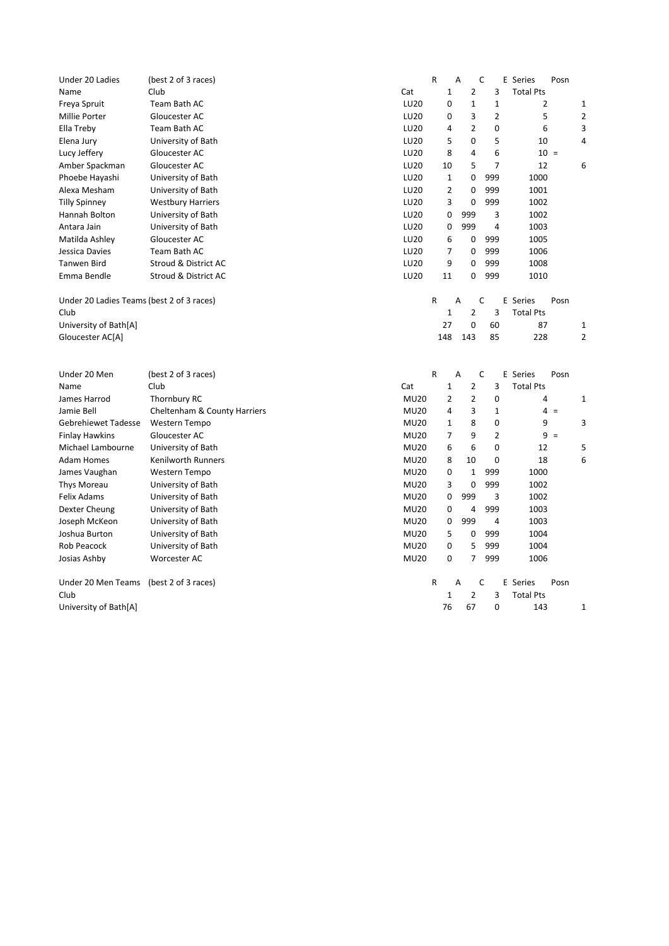| Under 20 Ladies                           | (best 2 of 3 races)          |             | $\mathsf{R}$   | A              | C              | E Series<br>Posn |                |
|-------------------------------------------|------------------------------|-------------|----------------|----------------|----------------|------------------|----------------|
| Name                                      | Club                         | Cat         | $\mathbf{1}$   | $\overline{2}$ | 3              | <b>Total Pts</b> |                |
| Freya Spruit                              | Team Bath AC                 | LU20        | 0              | $\mathbf{1}$   | $\mathbf{1}$   | $\overline{2}$   | 1              |
| Millie Porter                             | Gloucester AC                | LU20        | 0              | 3              | $\overline{2}$ | 5                | $\overline{2}$ |
| Ella Treby                                | Team Bath AC                 | LU20        | 4              | $\overline{2}$ | 0              | 6                | 3              |
| Elena Jury                                | University of Bath           | LU20        | 5              | 0              | 5              | 10               | 4              |
| Lucy Jeffery                              | Gloucester AC                | LU20        | 8              | 4              | 6              | $10 =$           |                |
| Amber Spackman                            | Gloucester AC                | LU20        | 10             | 5              | $\overline{7}$ | 12               | 6              |
| Phoebe Hayashi                            | University of Bath           | LU20        | 1              | 0              | 999            | 1000             |                |
| Alexa Mesham                              | University of Bath           | LU20        | $\overline{2}$ | 0              | 999            | 1001             |                |
| <b>Tilly Spinney</b>                      | <b>Westbury Harriers</b>     | LU20        | 3              | 0              | 999            | 1002             |                |
| Hannah Bolton                             | University of Bath           | LU20        | 0              | 999            | 3              | 1002             |                |
| Antara Jain                               | University of Bath           | LU20        | 0              | 999            | 4              | 1003             |                |
| Matilda Ashley                            | Gloucester AC                | LU20        | 6              | 0              | 999            | 1005             |                |
| Jessica Davies                            | Team Bath AC                 | LU20        | $\overline{7}$ | 0              | 999            | 1006             |                |
| <b>Tanwen Bird</b>                        | Stroud & District AC         | LU20        | 9              | 0              | 999            | 1008             |                |
| Emma Bendle                               | Stroud & District AC         | LU20        | 11             | 0              | 999            | 1010             |                |
| Under 20 Ladies Teams (best 2 of 3 races) |                              |             | R              | A              | C              | E Series<br>Posn |                |
| Club                                      |                              |             | $\mathbf 1$    | $\overline{2}$ | 3              | <b>Total Pts</b> |                |
| University of Bath[A]                     |                              |             | 27             | $\mathbf 0$    | 60             | 87               | $\mathbf{1}$   |
| Gloucester AC[A]                          |                              |             | 148            | 143            | 85             | 228              | $\overline{2}$ |
|                                           |                              |             |                |                |                |                  |                |
|                                           |                              |             |                |                |                |                  |                |
| Under 20 Men                              | (best 2 of 3 races)          |             | R              | A              | C              | E Series<br>Posn |                |
| Name                                      | Club                         | Cat         | 1              | $\overline{2}$ | 3              | <b>Total Pts</b> |                |
| James Harrod                              | Thornbury RC                 | <b>MU20</b> | 2              | $\overline{2}$ | 0              | 4                | 1              |
| Jamie Bell                                | Cheltenham & County Harriers | <b>MU20</b> | 4              | 3              | $\mathbf{1}$   | $4 =$            |                |
| <b>Gebrehiewet Tadesse</b>                | Western Tempo                | <b>MU20</b> | 1              | 8              | $\mathbf 0$    | 9                | 3              |
| <b>Finlay Hawkins</b>                     | Gloucester AC                | <b>MU20</b> | 7              | 9              | $\overline{2}$ | $9 =$            |                |
| Michael Lambourne                         | University of Bath           | <b>MU20</b> | 6              | 6              | 0              | 12               | 5              |
| <b>Adam Homes</b>                         | Kenilworth Runners           | <b>MU20</b> | 8              | 10             | 0              | 18               | 6              |
| James Vaughan                             | Western Tempo                | <b>MU20</b> | 0              | $\mathbf 1$    | 999            | 1000             |                |
| Thys Moreau                               | University of Bath           | <b>MU20</b> | 3              | 0              | 999            | 1002             |                |
| <b>Felix Adams</b>                        | University of Bath           | <b>MU20</b> | 0              | 999            | 3              | 1002             |                |
| Dexter Cheung                             | University of Bath           | <b>MU20</b> | 0              | 4              | 999            | 1003             |                |
| Joseph McKeon                             | University of Bath           | <b>MU20</b> | 0              | 999            | $\overline{4}$ | 1003             |                |
| Joshua Burton                             | University of Bath           | <b>MU20</b> | 5              | 0              | 999            | 1004             |                |
| Rob Peacock                               | University of Bath           | <b>MU20</b> | 0              | 5              | 999            | 1004             |                |
| Josias Ashby                              | Worcester AC                 | <b>MU20</b> | 0              | $\overline{7}$ | 999            | 1006             |                |
| Under 20 Men Teams (best 2 of 3 races)    |                              |             | R              | A              | C              | E Series<br>Posn |                |
| Club                                      |                              |             | 1              | $\overline{2}$ | 3              | <b>Total Pts</b> |                |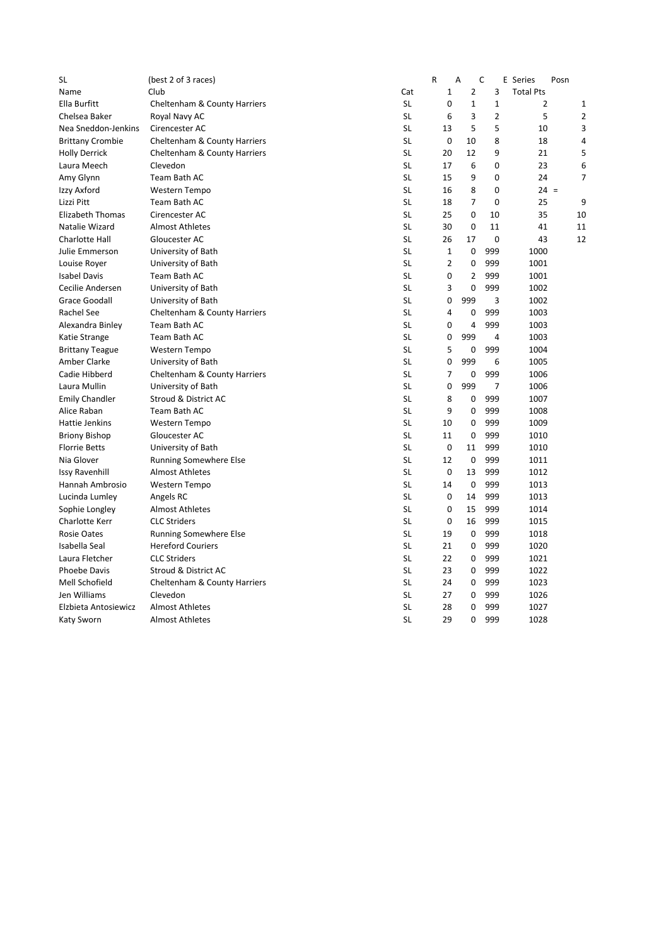| <b>SL</b>               | (best 2 of 3 races)           |           | R              | A              | C              | E Series         | Posn |                |
|-------------------------|-------------------------------|-----------|----------------|----------------|----------------|------------------|------|----------------|
| Name                    | Club                          | Cat       | $\mathbf{1}$   | $\overline{2}$ | 3              | <b>Total Pts</b> |      |                |
| Ella Burfitt            | Cheltenham & County Harriers  | <b>SL</b> | 0              | $\mathbf{1}$   | $\mathbf{1}$   | 2                |      | $\mathbf{1}$   |
| Chelsea Baker           | Royal Navy AC                 | <b>SL</b> | 6              | 3              | $\overline{2}$ | 5                |      | $\overline{2}$ |
| Nea Sneddon-Jenkins     | Cirencester AC                | <b>SL</b> | 13             | 5              | 5              | 10               |      | 3              |
| <b>Brittany Crombie</b> | Cheltenham & County Harriers  | <b>SL</b> | 0              | 10             | 8              | 18               |      | 4              |
| <b>Holly Derrick</b>    | Cheltenham & County Harriers  | <b>SL</b> | 20             | 12             | 9              | 21               |      | 5              |
| Laura Meech             | Clevedon                      | <b>SL</b> | 17             | 6              | 0              | 23               |      | 6              |
| Amy Glynn               | Team Bath AC                  | <b>SL</b> | 15             | 9              | 0              | 24               |      | 7              |
| Izzy Axford             | Western Tempo                 | <b>SL</b> | 16             | 8              | 0              | $24 =$           |      |                |
| Lizzi Pitt              | Team Bath AC                  | <b>SL</b> | 18             | 7              | 0              | 25               |      | 9              |
| <b>Elizabeth Thomas</b> | Cirencester AC                | <b>SL</b> | 25             | 0              | 10             | 35               |      | 10             |
| Natalie Wizard          | <b>Almost Athletes</b>        | <b>SL</b> | 30             | 0              | 11             | 41               |      | 11             |
| <b>Charlotte Hall</b>   | Gloucester AC                 | <b>SL</b> | 26             | 17             | 0              | 43               |      | 12             |
| Julie Emmerson          | University of Bath            | <b>SL</b> | $\mathbf{1}$   | $\mathbf 0$    | 999            | 1000             |      |                |
| Louise Royer            | University of Bath            | <b>SL</b> | $\overline{2}$ | 0              | 999            | 1001             |      |                |
| <b>Isabel Davis</b>     | Team Bath AC                  | <b>SL</b> | $\mathbf 0$    | $\overline{2}$ | 999            | 1001             |      |                |
| Cecilie Andersen        | University of Bath            | <b>SL</b> | 3              | 0              | 999            | 1002             |      |                |
| Grace Goodall           | University of Bath            | <b>SL</b> | 0              | 999            | 3              | 1002             |      |                |
| Rachel See              | Cheltenham & County Harriers  | <b>SL</b> | $\overline{4}$ | 0              | 999            | 1003             |      |                |
| Alexandra Binley        | Team Bath AC                  | <b>SL</b> | 0              | $\overline{4}$ | 999            | 1003             |      |                |
| Katie Strange           | Team Bath AC                  | <b>SL</b> | 0              | 999            | 4              | 1003             |      |                |
| <b>Brittany Teague</b>  | Western Tempo                 | <b>SL</b> | 5              | 0              | 999            | 1004             |      |                |
| Amber Clarke            | University of Bath            | <b>SL</b> | 0              | 999            | 6              | 1005             |      |                |
| Cadie Hibberd           | Cheltenham & County Harriers  | <b>SL</b> | $\overline{7}$ | 0              | 999            | 1006             |      |                |
| Laura Mullin            | University of Bath            | <b>SL</b> | 0              | 999            | 7              | 1006             |      |                |
| <b>Emily Chandler</b>   | Stroud & District AC          | <b>SL</b> | 8              | 0              | 999            | 1007             |      |                |
| Alice Raban             | Team Bath AC                  | <b>SL</b> | 9              | 0              | 999            | 1008             |      |                |
| Hattie Jenkins          | Western Tempo                 | <b>SL</b> | 10             | 0              | 999            | 1009             |      |                |
| <b>Briony Bishop</b>    | Gloucester AC                 | <b>SL</b> | 11             | 0              | 999            | 1010             |      |                |
| <b>Florrie Betts</b>    | University of Bath            | <b>SL</b> | $\mathbf 0$    | 11             | 999            | 1010             |      |                |
| Nia Glover              | <b>Running Somewhere Else</b> | <b>SL</b> | 12             | $\mathbf 0$    | 999            | 1011             |      |                |
| <b>Issy Ravenhill</b>   | <b>Almost Athletes</b>        | <b>SL</b> | 0              | 13             | 999            | 1012             |      |                |
| Hannah Ambrosio         | Western Tempo                 | <b>SL</b> | 14             | $\mathbf 0$    | 999            | 1013             |      |                |
| Lucinda Lumley          | Angels RC                     | <b>SL</b> | 0              | 14             | 999            | 1013             |      |                |
| Sophie Longley          | <b>Almost Athletes</b>        | <b>SL</b> | 0              | 15             | 999            | 1014             |      |                |
| Charlotte Kerr          | <b>CLC Striders</b>           | <b>SL</b> | $\mathbf 0$    | 16             | 999            | 1015             |      |                |
| <b>Rosie Oates</b>      | Running Somewhere Else        | <b>SL</b> | 19             | $\mathbf 0$    | 999            | 1018             |      |                |
| Isabella Seal           | <b>Hereford Couriers</b>      | <b>SL</b> | 21             | 0              | 999            | 1020             |      |                |
| Laura Fletcher          | <b>CLC Striders</b>           | <b>SL</b> | 22             | 0              | 999            | 1021             |      |                |
| <b>Phoebe Davis</b>     | Stroud & District AC          | <b>SL</b> | 23             | 0              | 999            | 1022             |      |                |
| Mell Schofield          | Cheltenham & County Harriers  | <b>SL</b> | 24             | 0              | 999            | 1023             |      |                |
| Jen Williams            | Clevedon                      | <b>SL</b> | 27             | 0              | 999            | 1026             |      |                |
| Elzbieta Antosiewicz    | <b>Almost Athletes</b>        | <b>SL</b> | 28             | 0              | 999            | 1027             |      |                |
| Katy Sworn              | Almost Athletes               | <b>SL</b> | 29             | 0              | 999            | 1028             |      |                |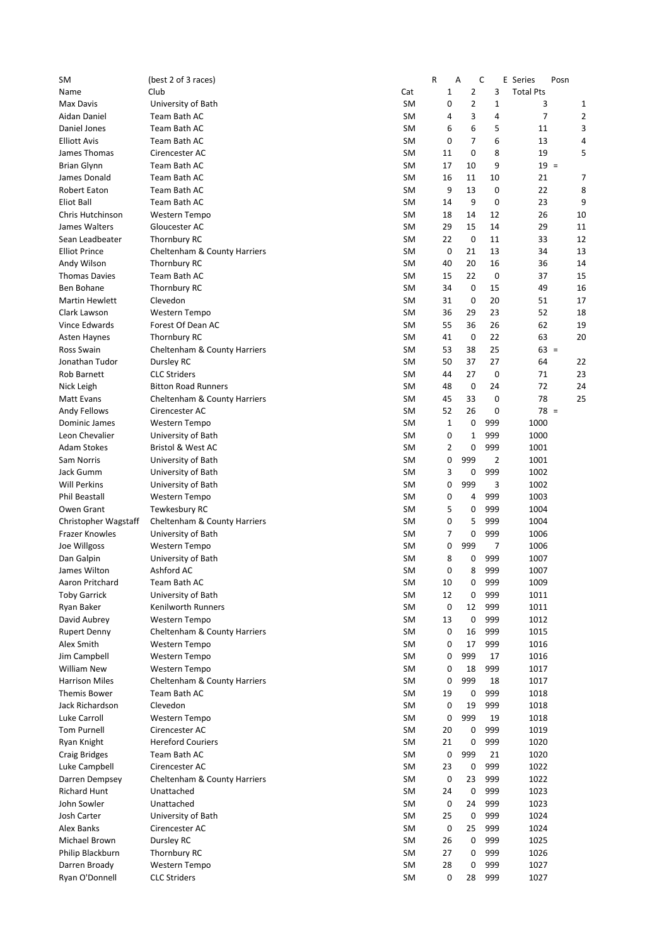| SM                    | (best 2 of 3 races)          |           | R  | Α              | C           | E<br>Series<br>Posn |                |
|-----------------------|------------------------------|-----------|----|----------------|-------------|---------------------|----------------|
| Name                  | Club                         | Cat       | 1  | $\overline{2}$ | 3           | <b>Total Pts</b>    |                |
| Max Davis             | University of Bath           | <b>SM</b> | 0  | $\overline{2}$ | $\mathbf 1$ | 3                   | 1              |
| Aidan Daniel          | Team Bath AC                 | <b>SM</b> | 4  | 3              | 4           | $\overline{7}$      | $\overline{2}$ |
| Daniel Jones          | Team Bath AC                 | <b>SM</b> | 6  | 6              | 5           | 11                  | 3              |
| <b>Elliott Avis</b>   | Team Bath AC                 | <b>SM</b> | 0  | $\overline{7}$ | 6           | 13                  | 4              |
| James Thomas          | Cirencester AC               | <b>SM</b> | 11 | 0              | 8           | 19                  | 5              |
| <b>Brian Glynn</b>    | Team Bath AC                 | <b>SM</b> | 17 | 10             | 9           | $19 =$              |                |
| James Donald          | Team Bath AC                 | <b>SM</b> | 16 | 11             | 10          | 21                  | 7              |
| <b>Robert Eaton</b>   | Team Bath AC                 | <b>SM</b> | 9  | 13             | 0           | 22                  | 8              |
| Eliot Ball            | Team Bath AC                 | <b>SM</b> | 14 | 9              | 0           | 23                  | 9              |
| Chris Hutchinson      | <b>Western Tempo</b>         | <b>SM</b> | 18 | 14             | 12          | 26                  | 10             |
| James Walters         | Gloucester AC                | <b>SM</b> | 29 | 15             | 14          | 29                  | 11             |
| Sean Leadbeater       | Thornbury RC                 | <b>SM</b> | 22 | $\mathbf 0$    | 11          | 33                  | 12             |
| <b>Elliot Prince</b>  | Cheltenham & County Harriers | <b>SM</b> | 0  | 21             | 13          | 34                  | 13             |
| Andy Wilson           | Thornbury RC                 | <b>SM</b> | 40 | 20             | 16          | 36                  | 14             |
| <b>Thomas Davies</b>  | Team Bath AC                 | <b>SM</b> | 15 | 22             | 0           | 37                  | 15             |
| Ben Bohane            | Thornbury RC                 | <b>SM</b> | 34 | 0              | 15          | 49                  | 16             |
| <b>Martin Hewlett</b> | Clevedon                     | <b>SM</b> | 31 | 0              | 20          | 51                  | 17             |
| Clark Lawson          | Western Tempo                | <b>SM</b> | 36 | 29             | 23          | 52                  | 18             |
| Vince Edwards         | Forest Of Dean AC            | <b>SM</b> | 55 | 36             | 26          | 62                  | 19             |
| Asten Haynes          | Thornbury RC                 | <b>SM</b> | 41 | 0              | 22          | 63                  | 20             |
| <b>Ross Swain</b>     | Cheltenham & County Harriers | <b>SM</b> | 53 | 38             | 25          | $63 =$              |                |
| Jonathan Tudor        | Dursley RC                   | <b>SM</b> | 50 | 37             | 27          | 64                  | 22             |
| Rob Barnett           | <b>CLC Striders</b>          | <b>SM</b> | 44 | 27             | 0           | 71                  | 23             |
| Nick Leigh            | <b>Bitton Road Runners</b>   | <b>SM</b> | 48 | 0              | 24          | 72                  | 24             |
| Matt Evans            | Cheltenham & County Harriers | <b>SM</b> | 45 | 33             | 0           | 78                  | 25             |
| Andy Fellows          | Cirencester AC               | <b>SM</b> | 52 | 26             | 0           | $78 =$              |                |
| Dominic James         | <b>Western Tempo</b>         | <b>SM</b> | 1  | 0              | 999         | 1000                |                |
| Leon Chevalier        | University of Bath           | <b>SM</b> | 0  | 1              | 999         | 1000                |                |
| <b>Adam Stokes</b>    | <b>Bristol &amp; West AC</b> | <b>SM</b> | 2  | 0              | 999         | 1001                |                |
| Sam Norris            | University of Bath           | <b>SM</b> | 0  | 999            | 2           | 1001                |                |
| Jack Gumm             | University of Bath           | <b>SM</b> | 3  | 0              | 999         | 1002                |                |
| <b>Will Perkins</b>   | University of Bath           | <b>SM</b> | 0  | 999            | 3           | 1002                |                |
| <b>Phil Beastall</b>  | Western Tempo                | <b>SM</b> | 0  | 4              | 999         | 1003                |                |
| Owen Grant            | Tewkesbury RC                | <b>SM</b> | 5  | 0              | 999         | 1004                |                |
| Christopher Wagstaff  | Cheltenham & County Harriers | <b>SM</b> | 0  | 5              | 999         | 1004                |                |
| Frazer Knowles        | University of Bath           | <b>SM</b> | 7  | 0              | 999         | 1006                |                |
| Joe Willgoss          | Western Tempo                | <b>SM</b> | 0  | 999            | 7           | 1006                |                |
| Dan Galpin            | University of Bath           | <b>SM</b> | 8  | 0              | 999         | 1007                |                |
| James Wilton          | Ashford AC                   | <b>SM</b> | 0  | 8              | 999         | 1007                |                |
| Aaron Pritchard       | Team Bath AC                 | SM        | 10 | 0              | 999         | 1009                |                |
| <b>Toby Garrick</b>   | University of Bath           | SM        | 12 | 0              | 999         | 1011                |                |
| Ryan Baker            | <b>Kenilworth Runners</b>    | SM        | 0  | 12             | 999         | 1011                |                |
| David Aubrey          | Western Tempo                | <b>SM</b> | 13 | 0              | 999         | 1012                |                |
| <b>Rupert Denny</b>   | Cheltenham & County Harriers | SM        | 0  | 16             | 999         | 1015                |                |
| Alex Smith            | Western Tempo                | SM        | 0  | 17             | 999         | 1016                |                |
| Jim Campbell          | Western Tempo                | SM        | 0  | 999            | 17          | 1016                |                |
| <b>William New</b>    | Western Tempo                | SM        | 0  | 18             | 999         | 1017                |                |
| <b>Harrison Miles</b> | Cheltenham & County Harriers | SM        | 0  | 999            | 18          | 1017                |                |
| Themis Bower          | Team Bath AC                 | SM        | 19 | 0              | 999         | 1018                |                |
| Jack Richardson       | Clevedon                     | SM        | 0  | 19             | 999         | 1018                |                |
| Luke Carroll          | Western Tempo                | SM        | 0  | 999            | 19          | 1018                |                |
| <b>Tom Purnell</b>    | Cirencester AC               | SM        | 20 | 0              | 999         | 1019                |                |
| Ryan Knight           | <b>Hereford Couriers</b>     | SM        | 21 | 0              | 999         | 1020                |                |
| <b>Craig Bridges</b>  | Team Bath AC                 | SM        | 0  | 999            | 21          | 1020                |                |
| Luke Campbell         | Cirencester AC               | SM        | 23 | 0              | 999         | 1022                |                |
| Darren Dempsey        | Cheltenham & County Harriers | SM        | 0  | 23             | 999         | 1022                |                |
| <b>Richard Hunt</b>   | Unattached                   | SM        | 24 | 0              | 999         | 1023                |                |
| John Sowler           | Unattached                   | SM        | 0  | 24             | 999         | 1023                |                |
| Josh Carter           | University of Bath           | SM        | 25 | 0              | 999         | 1024                |                |
| Alex Banks            | Cirencester AC               | SM        | 0  | 25             | 999         | 1024                |                |
| Michael Brown         | Dursley RC                   | SM        | 26 | 0              | 999         | 1025                |                |
| Philip Blackburn      | Thornbury RC                 | SM        | 27 | 0              | 999         | 1026                |                |
| Darren Broady         | Western Tempo                | SM        | 28 | 0              | 999         | 1027                |                |
| Ryan O'Donnell        | <b>CLC Striders</b>          | SM        | 0  | 28             | 999         | 1027                |                |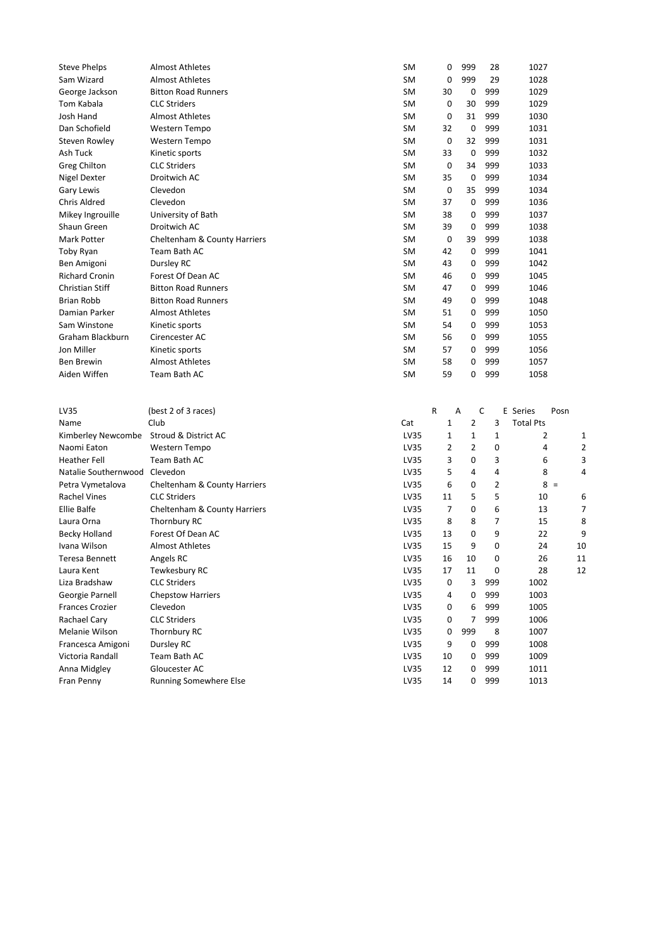| <b>Steve Phelps</b>                     | <b>Almost Athletes</b>                  | SM           | 0              | 999            | 28             | 1027             |      |
|-----------------------------------------|-----------------------------------------|--------------|----------------|----------------|----------------|------------------|------|
| Sam Wizard                              | <b>Almost Athletes</b>                  | SM           | 0              | 999            | 29             | 1028             |      |
| George Jackson                          | <b>Bitton Road Runners</b>              | SM           | 30             | 0              | 999            | 1029             |      |
| Tom Kabala                              | <b>CLC Striders</b>                     | SM           | 0              | 30             | 999            | 1029             |      |
| Josh Hand                               | <b>Almost Athletes</b>                  | SM           | 0              | 31             | 999            | 1030             |      |
| Dan Schofield                           | Western Tempo                           | SM           | 32             | 0              | 999            | 1031             |      |
| Steven Rowley                           | Western Tempo                           | SM           | 0              | 32             | 999            | 1031             |      |
| Ash Tuck                                | Kinetic sports                          | SM           | 33             | 0              | 999            | 1032             |      |
| <b>Greg Chilton</b>                     | <b>CLC Striders</b>                     | SM           | 0              | 34             | 999            | 1033             |      |
| Nigel Dexter                            | Droitwich AC                            | SM           | 35             | 0              | 999            | 1034             |      |
| Gary Lewis                              | Clevedon                                | SM           | 0              | 35             | 999            | 1034             |      |
| Chris Aldred                            | Clevedon                                | SM           | 37             | 0              | 999            | 1036             |      |
| Mikey Ingrouille                        | University of Bath                      | SM           | 38             | 0              | 999            | 1037             |      |
| Shaun Green                             | Droitwich AC                            | SM           | 39             | 0              | 999            | 1038             |      |
| Mark Potter                             | Cheltenham & County Harriers            | SM           | 0              | 39             | 999            | 1038             |      |
| Toby Ryan                               | Team Bath AC                            | SM           | 42             | 0              | 999            | 1041             |      |
| Ben Amigoni                             | Dursley RC                              | SM           | 43             | 0              | 999            | 1042             |      |
| <b>Richard Cronin</b>                   | Forest Of Dean AC                       | SM           | 46             | 0              | 999            | 1045             |      |
| Christian Stiff                         | <b>Bitton Road Runners</b>              | SM           | 47             | 0              | 999            | 1046             |      |
| <b>Brian Robb</b>                       | <b>Bitton Road Runners</b>              | SM           | 49             | 0              | 999            | 1048             |      |
| Damian Parker                           | <b>Almost Athletes</b>                  | SM           | 51             | 0              | 999            | 1050             |      |
| Sam Winstone                            | Kinetic sports                          | SM           | 54             | 0              | 999            | 1053             |      |
| Graham Blackburn                        | Cirencester AC                          | SM           | 56             | 0              | 999            | 1055             |      |
| Jon Miller                              | Kinetic sports                          | SM           | 57             | 0              | 999            | 1056             |      |
| <b>Ben Brewin</b>                       | <b>Almost Athletes</b>                  | SM           | 58             | 0              | 999            | 1057             |      |
| Aiden Wiffen                            | Team Bath AC                            | SM           | 59             | 0              | 999            | 1058             |      |
|                                         |                                         |              |                |                |                |                  |      |
|                                         |                                         |              |                |                |                |                  |      |
|                                         |                                         |              |                |                |                |                  |      |
| LV35                                    | (best 2 of 3 races)                     |              | R              | Α              | C              | E Series         | Posn |
| Name                                    | Club                                    | Cat          | 1              | 2              | 3              | <b>Total Pts</b> |      |
| Kimberley Newcombe Stroud & District AC |                                         | LV35         | $\mathbf 1$    | $\mathbf 1$    | $\mathbf{1}$   | 2                | 1    |
| Naomi Eaton                             | Western Tempo                           | LV35         | 2              | $\overline{2}$ | 0              | 4                |      |
| <b>Heather Fell</b>                     | Team Bath AC                            | LV35         | 3              | 0              | 3              | 6                | З    |
| Natalie Southernwood Clevedon           |                                         | LV35         | 5              | 4              | 4              | 8                | 4    |
| Petra Vymetalova                        | Cheltenham & County Harriers            | LV35         | 6              | 0              | $\overline{2}$ | $8 =$            |      |
| <b>Rachel Vines</b>                     | <b>CLC Striders</b>                     | LV35         | 11             | 5              | 5              | 10               | є    |
| <b>Ellie Balfe</b>                      | Cheltenham & County Harriers            | LV35         | $\overline{7}$ | 0              | 6              | 13               | 7    |
| Laura Orna                              | Thornbury RC                            | LV35         | 8              | 8              | 7              | 15               | ε    |
| Becky Holland                           | Forest Of Dean AC                       | LV35         | 13             | 0              | 9              | 22               | S    |
| Ivana Wilson                            | <b>Almost Athletes</b>                  | LV35         | 15             | 9              | 0              | 24               | 10   |
| <b>Teresa Bennett</b>                   | Angels RC                               | LV35         | 16             | 10             | 0              | 26               | 11   |
| Laura Kent                              | Tewkesbury RC                           | LV35         | 17             | 11             | 0              | 28               | 12   |
| Liza Bradshaw                           | <b>CLC Striders</b>                     | LV35         | 0              | 3              | 999            | 1002             |      |
| Georgie Parnell                         | <b>Chepstow Harriers</b>                | LV35         | 4              | 0              | 999            | 1003             |      |
| <b>Frances Crozier</b>                  | Clevedon                                | LV35         | 0              | 6              | 999            | 1005             |      |
| Rachael Cary                            | <b>CLC Striders</b>                     | LV35         | 0              | 7              | 999            | 1006             |      |
| Melanie Wilson                          | Thornbury RC                            | LV35         | 0              | 999            | 8              | 1007             |      |
| Francesca Amigoni                       | Dursley RC                              | LV35         | 9              | 0              | 999            | 1008             |      |
| Victoria Randall                        | Team Bath AC                            | LV35         | 10             | 0              | 999            | 1009             |      |
| Anna Midgley<br>Fran Penny              | Gloucester AC<br>Running Somewhere Else | LV35<br>LV35 | 12<br>14       | 0<br>0         | 999<br>999     | 1011<br>1013     |      |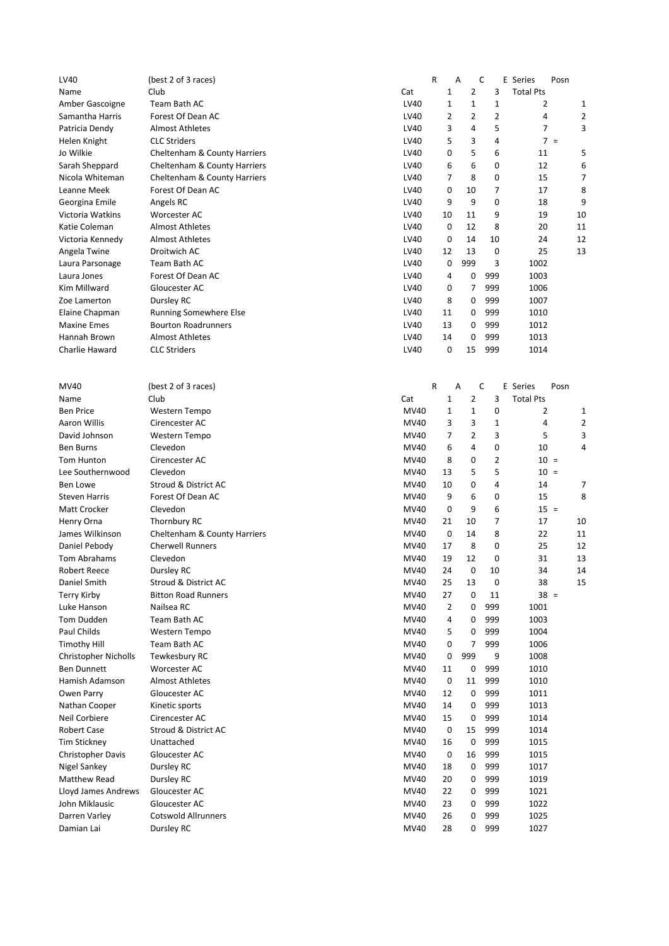| LV40                     | (best 2 of 3 races)          |      | R           | A              | C           | E Series         | Posn   |    |
|--------------------------|------------------------------|------|-------------|----------------|-------------|------------------|--------|----|
| Name                     | Club                         | Cat  | 1           | 2              | 3           | <b>Total Pts</b> |        |    |
| Amber Gascoigne          | Team Bath AC                 | LV40 | 1           | $\mathbf{1}$   | 1           | 2                |        | 1  |
| Samantha Harris          | Forest Of Dean AC            | LV40 | 2           | $\overline{2}$ | 2           | 4                |        | 2  |
| Patricia Dendy           | <b>Almost Athletes</b>       | LV40 | 3           | 4              | 5           | 7                |        | 3  |
| Helen Knight             | <b>CLC Striders</b>          | LV40 | 5           | 3              | 4           |                  | $7 =$  |    |
| Jo Wilkie                | Cheltenham & County Harriers | LV40 | 0           | 5              | 6           | 11               |        | 5  |
| Sarah Sheppard           | Cheltenham & County Harriers | LV40 | 6           | 6              | 0           | 12               |        | 6  |
| Nicola Whiteman          | Cheltenham & County Harriers | LV40 | 7           | 8              | 0           | 15               |        | 7  |
| Leanne Meek              | Forest Of Dean AC            | LV40 | 0           | 10             | 7           | 17               |        | 8  |
| Georgina Emile           | Angels RC                    | LV40 | 9           | 9              | 0           | 18               |        | 9  |
| Victoria Watkins         | Worcester AC                 | LV40 | 10          | 11             | 9           | 19               |        | 10 |
| Katie Coleman            | <b>Almost Athletes</b>       | LV40 | 0           | 12             | 8           | 20               |        | 11 |
| Victoria Kennedy         | <b>Almost Athletes</b>       | LV40 | 0           | 14             | 10          | 24               |        | 12 |
| Angela Twine             | Droitwich AC                 | LV40 | 12          | 13             | 0           | 25               |        | 13 |
| Laura Parsonage          | Team Bath AC                 | LV40 | 0           | 999            | 3           | 1002             |        |    |
| Laura Jones              | Forest Of Dean AC            | LV40 | 4           | 0              | 999         | 1003             |        |    |
| Kim Millward             | Gloucester AC                | LV40 | 0           | 7              | 999         | 1006             |        |    |
| Zoe Lamerton             | Dursley RC                   | LV40 | 8           | 0              | 999         | 1007             |        |    |
| Elaine Chapman           | Running Somewhere Else       | LV40 | 11          | 0              | 999         | 1010             |        |    |
| <b>Maxine Emes</b>       | <b>Bourton Roadrunners</b>   | LV40 | 13          | 0              | 999         | 1012             |        |    |
| Hannah Brown             | <b>Almost Athletes</b>       | LV40 | 14          | 0              | 999         | 1013             |        |    |
| Charlie Haward           | <b>CLC Striders</b>          | LV40 | 0           | 15             | 999         | 1014             |        |    |
|                          |                              |      |             |                |             |                  |        |    |
|                          |                              |      |             |                |             |                  |        |    |
| MV40                     | (best 2 of 3 races)          |      | R           | Α              | C           | E Series         | Posn   |    |
| Name                     | Club                         | Cat  | 1           | $\overline{2}$ | 3           | <b>Total Pts</b> |        |    |
| <b>Ben Price</b>         | Western Tempo                | MV40 | 1           | $\mathbf 1$    | 0           | 2                |        | 1  |
| <b>Aaron Willis</b>      | Cirencester AC               | MV40 | 3           | 3              | $\mathbf 1$ | 4                |        | 2  |
| David Johnson            | Western Tempo                | MV40 | 7           | 2              | 3           | 5                |        | 3  |
| <b>Ben Burns</b>         | Clevedon                     | MV40 | 6           | 4              | 0           | 10               |        | 4  |
| Tom Hunton               | Cirencester AC               | MV40 | 8           | 0              | 2           | $10 =$           |        |    |
| Lee Southernwood         | Clevedon                     | MV40 | 13          | 5              | 5           | $10 =$           |        |    |
| <b>Ben Lowe</b>          | Stroud & District AC         | MV40 | 10          | 0              | 4           | 14               |        | 7  |
| <b>Steven Harris</b>     | Forest Of Dean AC            | MV40 | 9           | 6              | 0           | 15               |        | 8  |
| <b>Matt Crocker</b>      | Clevedon                     | MV40 | 0           | 9              | 6           | $15 =$           |        |    |
| Henry Orna               | Thornbury RC                 | MV40 | 21          | 10             | 7           | 17               |        | 10 |
| James Wilkinson          | Cheltenham & County Harriers | MV40 | 0           | 14             | 8           | 22               |        | 11 |
| Daniel Pebody            | <b>Cherwell Runners</b>      | MV40 | 17          | 8              | 0           | 25               |        | 12 |
| Tom Abrahams             | Clevedon                     | MV40 | 19          | 12             | 0           | 31               |        | 13 |
| Robert Reece             | Dursley RC                   | MV40 | 24          | 0              | 10          | 34               |        | 14 |
| Daniel Smith             | Stroud & District AC         | MV40 | 25          | 13             | 0           | 38               |        | 15 |
| <b>Terry Kirby</b>       | <b>Bitton Road Runners</b>   | MV40 | 27          | 0              | 11          |                  | $38 =$ |    |
| Luke Hanson              | Nailsea RC                   | MV40 | 2           | 0              | 999         | 1001             |        |    |
| Tom Dudden               | Team Bath AC                 | MV40 | 4           | 0              | 999         | 1003             |        |    |
| Paul Childs              | Western Tempo                | MV40 | 5           | 0              | 999         | 1004             |        |    |
| Timothy Hill             | Team Bath AC                 | MV40 | 0           | 7              | 999         | 1006             |        |    |
| Christopher Nicholls     | Tewkesbury RC                | MV40 | 0           | 999            | 9           | 1008             |        |    |
| <b>Ben Dunnett</b>       | Worcester AC                 | MV40 | 11          | 0              | 999         | 1010             |        |    |
| Hamish Adamson           | <b>Almost Athletes</b>       | MV40 | $\mathsf 0$ | 11             | 999         | 1010             |        |    |
| Owen Parry               | Gloucester AC                | MV40 | 12          | 0              | 999         | 1011             |        |    |
| Nathan Cooper            | Kinetic sports               | MV40 | 14          | 0              | 999         | 1013             |        |    |
| Neil Corbiere            | Cirencester AC               | MV40 | 15          | 0              | 999         | 1014             |        |    |
| <b>Robert Case</b>       | Stroud & District AC         | MV40 | 0           | 15             | 999         | 1014             |        |    |
| <b>Tim Stickney</b>      | Unattached                   | MV40 | 16          | 0              | 999         | 1015             |        |    |
| <b>Christopher Davis</b> | Gloucester AC                | MV40 | 0           | 16             | 999         | 1015             |        |    |
| Nigel Sankey             | Dursley RC                   | MV40 | 18          | 0              | 999         | 1017             |        |    |
| Matthew Read             | Dursley RC                   | MV40 | 20          | 0              | 999         | 1019             |        |    |
| Lloyd James Andrews      | Gloucester AC                | MV40 | 22          | 0              | 999         | 1021             |        |    |
| John Miklausic           | Gloucester AC                | MV40 | 23          | 0              | 999         | 1022             |        |    |
| Darren Varley            | <b>Cotswold Allrunners</b>   | MV40 | 26          | 0              | 999         | 1025             |        |    |
| Damian Lai               | Dursley RC                   | MV40 | 28          | 0              | 999         | 1027             |        |    |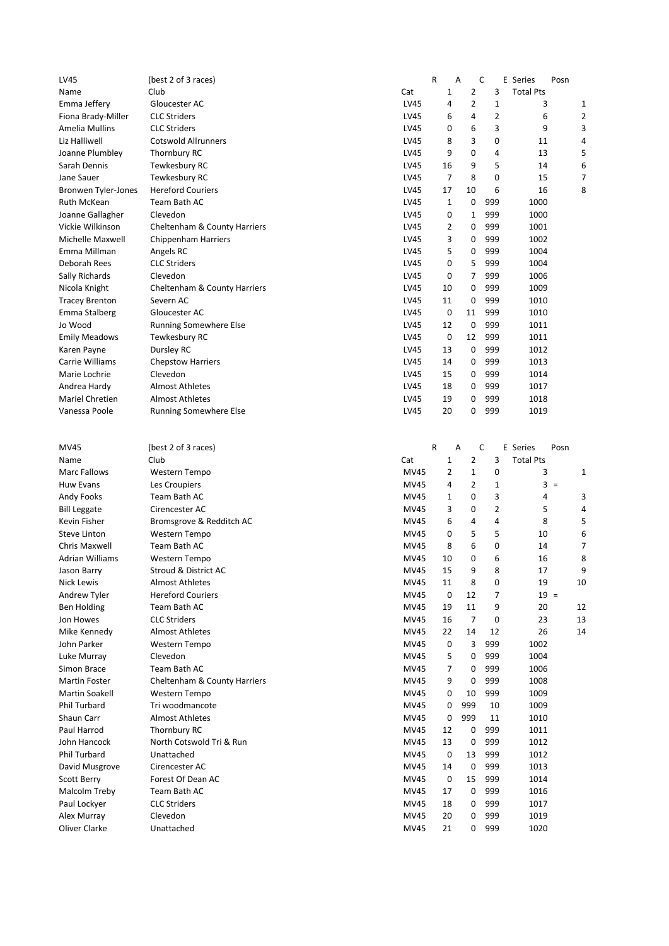| LV45                         | (best 2 of 3 races)           |                     | R                 | A                              | C              | E Series              | Posn |
|------------------------------|-------------------------------|---------------------|-------------------|--------------------------------|----------------|-----------------------|------|
| Name                         | Club                          | Cat                 | 1                 | 2                              | 3              | <b>Total Pts</b>      |      |
| Emma Jeffery                 | Gloucester AC                 | LV45                | 4                 | $\overline{2}$                 | $\mathbf{1}$   | 3                     | 1    |
| Fiona Brady-Miller           | <b>CLC Striders</b>           | LV45                | 6                 | 4                              | $\overline{2}$ | 6                     | 2    |
| Amelia Mullins               | <b>CLC Striders</b>           | LV45                | 0                 | 6                              | 3              | 9                     | 3    |
| Liz Halliwell                | <b>Cotswold Allrunners</b>    | LV45                | 8                 | 3                              | 0              | 11                    | 4    |
| Joanne Plumbley              | Thornbury RC                  | LV45                | 9                 | 0                              | 4              | 13                    | 5    |
| Sarah Dennis                 | Tewkesbury RC                 | LV45                | 16                | 9                              | 5              | 14                    | 6    |
| Jane Sauer                   | Tewkesbury RC                 | LV45                | 7                 | 8                              | 0              | 15                    | 7    |
| Bronwen Tyler-Jones          | <b>Hereford Couriers</b>      | LV45                | 17                | 10                             | 6              | 16                    | 8    |
| Ruth McKean                  | Team Bath AC                  | LV45                | 1                 | 0                              | 999            | 1000                  |      |
| Joanne Gallagher             | Clevedon                      | LV45                | 0                 | 1                              | 999            | 1000                  |      |
| Vickie Wilkinson             | Cheltenham & County Harriers  | LV45                | 2                 | 0                              | 999            | 1001                  |      |
| Michelle Maxwell             | <b>Chippenham Harriers</b>    | LV45                | 3                 | 0                              | 999            | 1002                  |      |
| Emma Millman                 | Angels RC                     | LV45                | 5                 | 0                              | 999            | 1004                  |      |
| Deborah Rees                 | <b>CLC Striders</b>           | LV45                | 0                 | 5                              | 999            | 1004                  |      |
| Sally Richards               | Clevedon                      | LV45                | 0                 | 7                              | 999            | 1006                  |      |
| Nicola Knight                | Cheltenham & County Harriers  | LV45                | 10                | 0                              | 999            | 1009                  |      |
| <b>Tracey Brenton</b>        | Severn AC                     | LV45                | 11                | 0                              | 999            | 1010                  |      |
| Emma Stalberg                | Gloucester AC                 | LV45                | 0                 | 11                             | 999            | 1010                  |      |
| Jo Wood                      | <b>Running Somewhere Else</b> | LV45                | 12                | $\mathbf 0$                    | 999            | 1011                  |      |
| <b>Emily Meadows</b>         | Tewkesbury RC                 | <b>LV45</b>         | 0                 | 12                             | 999            | 1011                  |      |
| Karen Payne                  | Dursley RC                    | LV45                | 13                | 0                              | 999            | 1012                  |      |
| Carrie Williams              | <b>Chepstow Harriers</b>      | LV45                | 14                | 0                              | 999            | 1013                  |      |
| Marie Lochrie                | Clevedon                      | LV45                | 15                | 0                              | 999            | 1014                  |      |
| Andrea Hardy                 | <b>Almost Athletes</b>        | LV45                | 18                | 0                              | 999            | 1017                  |      |
| <b>Mariel Chretien</b>       | <b>Almost Athletes</b>        | LV45                | 19                | 0                              | 999            | 1018                  |      |
| Vanessa Poole                | Running Somewhere Else        | LV45                | 20                | 0                              | 999            | 1019                  |      |
|                              |                               |                     |                   |                                |                |                       |      |
|                              |                               |                     |                   |                                |                |                       |      |
| MV45                         | (best 2 of 3 races)           |                     | R                 | Α                              | C              | E Series              | Posn |
|                              |                               |                     |                   |                                |                |                       |      |
| Name                         | Club                          |                     |                   |                                |                |                       |      |
| <b>Marc Fallows</b>          |                               | Cat<br><b>MV45</b>  | $\mathbf{1}$<br>2 | $\overline{2}$<br>$\mathbf{1}$ | 3<br>0         | <b>Total Pts</b><br>3 |      |
|                              | Western Tempo                 |                     | 4                 |                                |                |                       | 1    |
| <b>Huw Evans</b>             | Les Croupiers                 | <b>MV45</b>         |                   | $\overline{2}$                 | 1              | $3 =$                 |      |
| Andy Fooks                   | Team Bath AC                  | <b>MV45</b>         | $\mathbf{1}$      | 0                              | 3              | 4                     | 3    |
| <b>Bill Leggate</b>          | Cirencester AC                | MV45                | 3                 | 0                              | $\overline{2}$ | 5                     | 4    |
| Kevin Fisher                 | Bromsgrove & Redditch AC      | <b>MV45</b>         | 6                 | 4                              | 4              | 8                     | 5    |
| <b>Steve Linton</b>          | Western Tempo                 | <b>MV45</b>         | 0                 | 5                              | 5              | 10                    | 6    |
| Chris Maxwell                | Team Bath AC                  | <b>MV45</b>         | 8                 | 6                              | 0              | 14                    | 7    |
| Adrian Williams              | Western Tempo                 | MV45                | 10                | 0<br>9                         | 6              | 16                    | 8    |
| Jason Barry                  | Stroud & District AC          | MV45                | 15                |                                | 8              | 17                    | 9    |
| Nick Lewis                   | <b>Almost Athletes</b>        | <b>MV45</b>         | 11                | 8                              | 0              | 19                    | 10   |
| Andrew Tyler                 | <b>Hereford Couriers</b>      | MV45                | 0                 | 12                             | 7              | $19 =$                |      |
| Ben Holding                  | Team Bath AC                  | MV45                | 19                | 11                             | 9              | 20                    | 12   |
| Jon Howes                    | <b>CLC Striders</b>           | MV45                | 16                | $\overline{7}$                 | 0              | 23                    | 13   |
| Mike Kennedy                 | <b>Almost Athletes</b>        | MV45                | 22                | 14                             | 12             | 26                    | 14   |
| John Parker                  | Western Tempo                 | MV45                | 0                 | 3                              | 999            | 1002                  |      |
| Luke Murray                  | Clevedon                      | MV45                | 5                 | 0                              | 999            | 1004                  |      |
| Simon Brace                  | Team Bath AC                  | MV45                | 7                 | 0                              | 999            | 1006                  |      |
| Martin Foster                | Cheltenham & County Harriers  | <b>MV45</b>         | 9                 | 0                              | 999            | 1008                  |      |
| Martin Soakell               | Western Tempo                 | <b>MV45</b>         | 0                 | 10                             | 999            | 1009                  |      |
| <b>Phil Turbard</b>          | Tri woodmancote               | <b>MV45</b>         | 0                 | 999                            | 10             | 1009                  |      |
| Shaun Carr                   | <b>Almost Athletes</b>        | MV45                | 0                 | 999                            | 11             | 1010                  |      |
| Paul Harrod                  | Thornbury RC                  | MV45                | 12                | 0                              | 999            | 1011                  |      |
| John Hancock                 | North Cotswold Tri & Run      | MV45                | 13                | 0                              | 999            | 1012                  |      |
| Phil Turbard                 | Unattached                    | MV45                | 0                 | 13                             | 999            | 1012                  |      |
| David Musgrove               | Cirencester AC                | MV45                | 14                | 0                              | 999            | 1013                  |      |
| Scott Berry                  | Forest Of Dean AC             | MV45                | 0                 | 15                             | 999            | 1014                  |      |
| Malcolm Treby                | Team Bath AC                  | <b>MV45</b>         | 17                | 0                              | 999            | 1016                  |      |
| Paul Lockyer                 | <b>CLC Striders</b>           | <b>MV45</b>         | 18                | 0                              | 999            | 1017                  |      |
| Alex Murray<br>Oliver Clarke | Clevedon<br>Unattached        | MV45<br><b>MV45</b> | 20<br>21          | 0<br>0                         | 999<br>999     | 1019<br>1020          |      |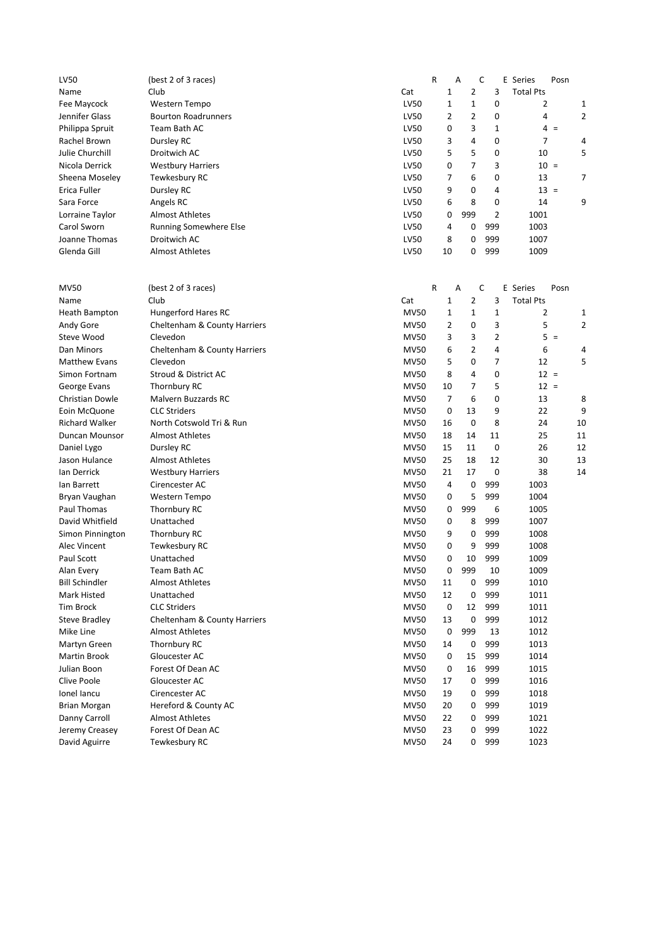| LV50                         | (best 2 of 3 races)                                |                            | R        | A              | C              | E Series         | Posn     |
|------------------------------|----------------------------------------------------|----------------------------|----------|----------------|----------------|------------------|----------|
| Name                         | Club                                               | Cat                        | 1        | $\overline{2}$ | 3              | <b>Total Pts</b> |          |
| Fee Maycock                  | Western Tempo                                      | LV50                       | 1        | 1              | 0              | 2                | 1        |
| Jennifer Glass               | <b>Bourton Roadrunners</b>                         | LV50                       | 2        | 2              | 0              | 4                | 2        |
| Philippa Spruit              | Team Bath AC                                       | LV50                       | 0        | 3              | 1              | $4 =$            |          |
| Rachel Brown                 | Dursley RC                                         | LV50                       | 3        | 4              | 0              | 7                | 4        |
| Julie Churchill              | Droitwich AC                                       | LV50                       | 5        | 5              | 0              | 10               | 5        |
| Nicola Derrick               | <b>Westbury Harriers</b>                           | LV50                       | 0        | 7              | 3              | $10 =$           |          |
| Sheena Moseley               | Tewkesbury RC                                      | LV50                       | 7        | 6              | 0              | 13               | 7        |
| Erica Fuller                 | Dursley RC                                         | LV50                       | 9        | 0              | 4              | $13 =$           |          |
| Sara Force                   | Angels RC                                          | LV50                       | 6        | 8              | 0              | 14               | 9        |
| Lorraine Taylor              | <b>Almost Athletes</b>                             | LV50                       | 0        | 999            | 2              | 1001             |          |
| Carol Sworn                  | <b>Running Somewhere Else</b>                      | LV50                       | 4        | 0              | 999            | 1003             |          |
| Joanne Thomas                | Droitwich AC                                       | LV50                       | 8        | 0              | 999            | 1007             |          |
| Glenda Gill                  | <b>Almost Athletes</b>                             | LV50                       | 10       | 0              | 999            | 1009             |          |
| MV50                         | (best 2 of 3 races)                                |                            | R        | A              | C              | E Series         | Posn     |
| Name                         | Club                                               | Cat                        | 1        | $\overline{2}$ | 3              | <b>Total Pts</b> |          |
| Heath Bampton                | Hungerford Hares RC                                | <b>MV50</b>                | 1        | 1              | 1              | 2                | 1        |
| Andy Gore                    | Cheltenham & County Harriers                       | <b>MV50</b>                | 2        | 0              | 3              | 5                | 2        |
| Steve Wood                   | Clevedon                                           | <b>MV50</b>                | 3        | 3              | $\overline{2}$ | $5 =$            |          |
| Dan Minors                   | Cheltenham & County Harriers                       | <b>MV50</b>                | 6        | $\overline{2}$ | 4              | 6                | 4        |
| <b>Matthew Evans</b>         | Clevedon                                           | <b>MV50</b>                | 5        | 0              | 7              | 12               | 5        |
| Simon Fortnam                | Stroud & District AC                               | <b>MV50</b>                | 8        | 4              | 0              | $12 =$           |          |
| George Evans                 | Thornbury RC                                       | <b>MV50</b>                | 10       | 7              | 5              | $12 =$           |          |
| Christian Dowle              | <b>Malvern Buzzards RC</b>                         | <b>MV50</b>                | 7        | 6              | 0              | 13               | 8        |
|                              |                                                    |                            |          |                |                |                  |          |
| Eoin McQuone                 | <b>CLC Striders</b>                                | <b>MV50</b>                | 0        | 13<br>0        | 9<br>8         | 22               | 9<br>10  |
| <b>Richard Walker</b>        | North Cotswold Tri & Run<br><b>Almost Athletes</b> | <b>MV50</b><br><b>MV50</b> | 16<br>18 | 14             | 11             | 24<br>25         |          |
| Duncan Mounsor               |                                                    | <b>MV50</b>                | 15       | 11             | 0              | 26               | 11<br>12 |
| Daniel Lygo<br>Jason Hulance | Dursley RC<br><b>Almost Athletes</b>               | <b>MV50</b>                | 25       | 18             | 12             | 30               | 13       |
|                              |                                                    | <b>MV50</b>                | 21       | 17             | 0              | 38               | 14       |
| Ian Derrick                  | <b>Westbury Harriers</b>                           |                            | 4        |                | 999            | 1003             |          |
| lan Barrett                  | Cirencester AC                                     | <b>MV50</b><br><b>MV50</b> | 0        | 0<br>5         | 999            | 1004             |          |
| Bryan Vaughan                | Western Tempo                                      |                            |          | 999            | 6              |                  |          |
| Paul Thomas                  | Thornbury RC                                       | <b>MV50</b>                | 0        |                | 999            | 1005             |          |
| David Whitfield              | Unattached                                         | <b>MV50</b>                | 0        | 8              |                | 1007             |          |
| Simon Pinnington             | Thornbury RC                                       | <b>MV50</b>                | 9        | 0              | 999            | 1008             |          |
| Alec Vincent                 | Tewkesbury RC<br>Unattached                        | <b>MV50</b>                | 0        | 9              | 999<br>999     | 1008             |          |
| Paul Scott                   |                                                    | <b>MV50</b><br><b>MV50</b> | 0<br>0   | 10<br>999      | 10             | 1009<br>1009     |          |
| Alan Every                   | Team Bath AC<br><b>Almost Athletes</b>             |                            |          |                |                |                  |          |
| <b>Bill Schindler</b>        |                                                    | <b>MV50</b>                | 11       | 0              | 999            | 1010             |          |
| Mark Histed                  | Unattached                                         | <b>MV50</b>                | 12       | 0              | 999            | 1011             |          |
| <b>Tim Brock</b>             | <b>CLC Striders</b>                                | <b>MV50</b>                | 0        | 12             | 999            | 1011             |          |
| <b>Steve Bradley</b>         | Cheltenham & County Harriers                       | <b>MV50</b>                | 13       | 0              | 999            | 1012             |          |
| Mike Line                    | <b>Almost Athletes</b>                             | <b>MV50</b><br><b>MV50</b> | 0        | 999            | 13<br>999      | 1012<br>1013     |          |
| Martyn Green                 | Thornbury RC                                       |                            | 14       | 0<br>15        | 999            | 1014             |          |
| Martin Brook                 | Gloucester AC                                      | <b>MV50</b>                | 0        |                |                |                  |          |
| Julian Boon                  | Forest Of Dean AC                                  | <b>MV50</b>                | 0        | 16             | 999            | 1015             |          |
| Clive Poole                  | Gloucester AC                                      | <b>MV50</b>                | 17       | 0              | 999            | 1016             |          |
| Ionel Iancu                  | Cirencester AC                                     | <b>MV50</b>                | 19       | 0              | 999            | 1018             |          |
| <b>Brian Morgan</b>          | Hereford & County AC                               | <b>MV50</b>                | 20       | 0              | 999            | 1019             |          |
| Danny Carroll                | <b>Almost Athletes</b>                             | <b>MV50</b>                | 22       | 0              | 999            | 1021             |          |
| Jeremy Creasey               | Forest Of Dean AC                                  | <b>MV50</b>                | 23       | 0              | 999            | 1022             |          |
| David Aguirre                | Tewkesbury RC                                      | <b>MV50</b>                | 24       | 0              | 999            | 1023             |          |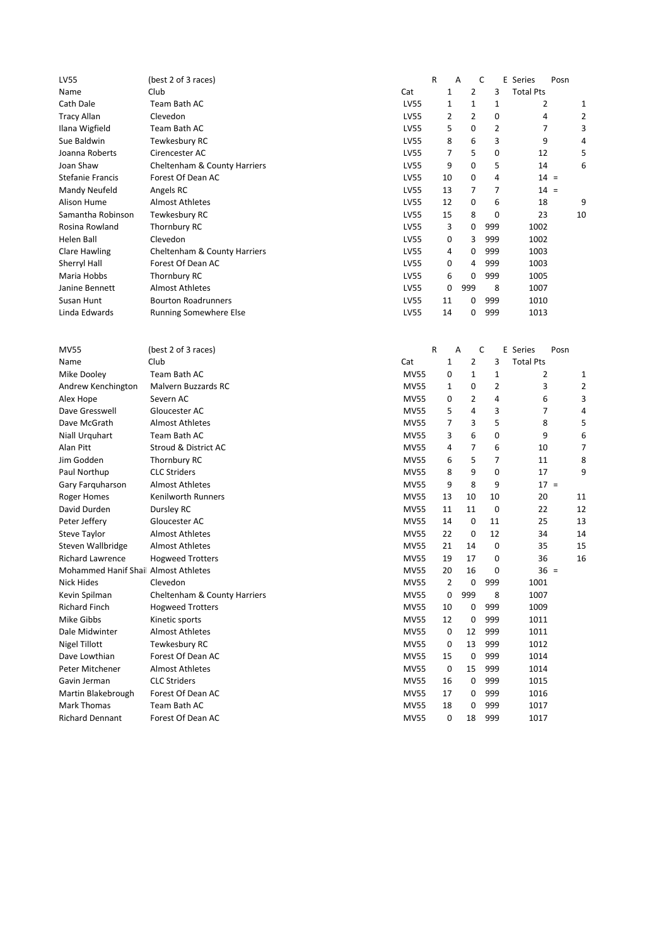| $\overline{2}$<br>3<br>Club<br>Cat<br>1<br><b>Total Pts</b><br>Name<br>$\mathbf{1}$<br>Team Bath AC<br><b>LV55</b><br>1<br>1<br>2<br>Cath Dale<br>1<br>$\overline{2}$<br>$\overline{2}$<br>0<br><b>Tracy Allan</b><br>Clevedon<br>LV55<br>4<br>2<br>5<br>$\overline{2}$<br>Team Bath AC<br>LV55<br>0<br>7<br>3<br>Ilana Wigfield<br>6<br>3<br>9<br>Sue Baldwin<br>Tewkesbury RC<br>LV55<br>8<br>4<br>Joanna Roberts<br>LV55<br>7<br>5<br>0<br>12<br>5<br>Cirencester AC<br>9<br>0<br>5<br>6<br>Joan Shaw<br>Cheltenham & County Harriers<br>LV55<br>14<br>LV55<br>10<br>0<br>4<br>$14 =$<br><b>Stefanie Francis</b><br>Forest Of Dean AC<br>7<br>7<br>LV55<br>$14 =$<br>Mandy Neufeld<br>Angels RC<br>13<br>LV55<br>12<br>0<br>6<br>18<br>9<br>Alison Hume<br><b>Almost Athletes</b><br><b>LV55</b><br>Samantha Robinson<br>Tewkesbury RC<br>15<br>8<br>0<br>23<br>10<br>LV55<br>3<br>0<br>999<br>1002<br>Rosina Rowland<br>Thornbury RC<br>Clevedon<br>LV55<br>0<br>3<br>999<br>1002<br>Helen Ball<br>999<br>LV55<br>4<br>0<br>1003<br>Clare Hawling<br>Cheltenham & County Harriers<br>999<br>Forest Of Dean AC<br>LV55<br>0<br>4<br>1003<br>Sherryl Hall<br>Thornbury RC<br>LV55<br>6<br>0<br>999<br>1005<br>Maria Hobbs<br><b>Almost Athletes</b><br>LV55<br>999<br>8<br>1007<br>Janine Bennett<br>0<br>999<br><b>Bourton Roadrunners</b><br>LV55<br>0<br>1010<br>Susan Hunt<br>11<br>Linda Edwards<br>LV55<br>0<br>999<br>1013<br>Running Somewhere Else<br>14<br>R<br>C<br><b>MV55</b><br>(best 2 of 3 races)<br>A<br>E Series<br>Posn<br>Club<br>2<br>3<br><b>Total Pts</b><br>Name<br>Cat<br>1<br>$\mathbf{1}$<br>Team Bath AC<br><b>MV55</b><br>0<br>1<br>2<br>Mike Dooley<br>1<br>2<br>Malvern Buzzards RC<br><b>MV55</b><br>1<br>0<br>3<br>2<br>Andrew Kenchington<br><b>MV55</b><br>3<br>0<br>2<br>4<br>6<br>Alex Hope<br>Severn AC<br>Dave Gresswell<br>Gloucester AC<br><b>MV55</b><br>5<br>4<br>3<br>7<br>4<br>5<br>Dave McGrath<br><b>Almost Athletes</b><br><b>MV55</b><br>7<br>3<br>8<br>5<br>6<br>0<br>6<br>Team Bath AC<br><b>MV55</b><br>3<br>9<br>Niall Urquhart<br>7<br>7<br>6<br>Alan Pitt<br>Stroud & District AC<br><b>MV55</b><br>4<br>10<br>5<br>7<br>Thornbury RC<br><b>MV55</b><br>11<br>8<br>Jim Godden<br>6<br>9<br>17<br>9<br><b>CLC Striders</b><br><b>MV55</b><br>8<br>0<br>Paul Northup<br><b>Almost Athletes</b><br><b>MV55</b><br>9<br>8<br>9<br>$17 =$<br>Gary Farquharson<br>10<br>20<br>Roger Homes<br>Kenilworth Runners<br><b>MV55</b><br>13<br>10<br>11<br>0<br>22<br>David Durden<br>Dursley RC<br><b>MV55</b><br>11<br>11<br>12<br>0<br>25<br><b>MV55</b><br>14<br>11<br>13<br>Peter Jeffery<br>Gloucester AC<br>12<br><b>Almost Athletes</b><br><b>MV55</b><br>22<br>0<br>34<br>Steve Taylor<br>14<br>Steven Wallbridge<br><b>Almost Athletes</b><br><b>MV55</b><br>14<br>0<br>35<br>15<br>21<br><b>Richard Lawrence</b><br><b>Hogweed Trotters</b><br><b>MV55</b><br>19<br>17<br>0<br>36<br>16<br><b>MV55</b><br>20<br>16<br>0<br>$36 =$<br>Mohammed Hanif Shai Almost Athletes<br>2<br>999<br>Nick Hides<br>Clevedon<br><b>MV55</b><br>0<br>1001<br>999<br>8<br>1007<br>Kevin Spilman<br>Cheltenham & County Harriers<br><b>MV55</b><br>0<br>999<br><b>MV55</b><br>0<br>1009<br><b>Richard Finch</b><br><b>Hogweed Trotters</b><br>10<br>999<br>Mike Gibbs<br>Kinetic sports<br><b>MV55</b><br>12<br>0<br>1011<br>Dale Midwinter<br><b>Almost Athletes</b><br><b>MV55</b><br>12<br>999<br>1011<br>0<br>13<br>999<br><b>Nigel Tillott</b><br>Tewkesbury RC<br><b>MV55</b><br>1012<br>0<br>999<br>Dave Lowthian<br>Forest Of Dean AC<br><b>MV55</b><br>15<br>0<br>1014<br>Peter Mitchener<br><b>Almost Athletes</b><br><b>MV55</b><br>0<br>15<br>999<br>1014<br>999<br><b>CLC Striders</b><br><b>MV55</b><br>0<br>1015<br>Gavin Jerman<br>16<br>999<br>Forest Of Dean AC<br><b>MV55</b><br>0<br>1016<br>Martin Blakebrough<br>17<br>Mark Thomas<br>Team Bath AC<br><b>MV55</b><br>0<br>999<br>1017<br>18<br>999<br><b>Richard Dennant</b><br>Forest Of Dean AC<br><b>MV55</b><br>0<br>18<br>1017 | <b>LV55</b> | (best 2 of 3 races) | R | A | С | E Series | Posn |  |
|-------------------------------------------------------------------------------------------------------------------------------------------------------------------------------------------------------------------------------------------------------------------------------------------------------------------------------------------------------------------------------------------------------------------------------------------------------------------------------------------------------------------------------------------------------------------------------------------------------------------------------------------------------------------------------------------------------------------------------------------------------------------------------------------------------------------------------------------------------------------------------------------------------------------------------------------------------------------------------------------------------------------------------------------------------------------------------------------------------------------------------------------------------------------------------------------------------------------------------------------------------------------------------------------------------------------------------------------------------------------------------------------------------------------------------------------------------------------------------------------------------------------------------------------------------------------------------------------------------------------------------------------------------------------------------------------------------------------------------------------------------------------------------------------------------------------------------------------------------------------------------------------------------------------------------------------------------------------------------------------------------------------------------------------------------------------------------------------------------------------------------------------------------------------------------------------------------------------------------------------------------------------------------------------------------------------------------------------------------------------------------------------------------------------------------------------------------------------------------------------------------------------------------------------------------------------------------------------------------------------------------------------------------------------------------------------------------------------------------------------------------------------------------------------------------------------------------------------------------------------------------------------------------------------------------------------------------------------------------------------------------------------------------------------------------------------------------------------------------------------------------------------------------------------------------------------------------------------------------------------------------------------------------------------------------------------------------------------------------------------------------------------------------------------------------------------------------------------------------------------------------------------------------------------------------------------------------------------------------------------------------------------------------------------------------------------------------------------------------------------------------------------------------------------------------------------------------------------------------------------------------------------------------------------------------------------------------------------------------------------------------------------------------------------------|-------------|---------------------|---|---|---|----------|------|--|
|                                                                                                                                                                                                                                                                                                                                                                                                                                                                                                                                                                                                                                                                                                                                                                                                                                                                                                                                                                                                                                                                                                                                                                                                                                                                                                                                                                                                                                                                                                                                                                                                                                                                                                                                                                                                                                                                                                                                                                                                                                                                                                                                                                                                                                                                                                                                                                                                                                                                                                                                                                                                                                                                                                                                                                                                                                                                                                                                                                                                                                                                                                                                                                                                                                                                                                                                                                                                                                                                                                                                                                                                                                                                                                                                                                                                                                                                                                                                                                                                                                                 |             |                     |   |   |   |          |      |  |
|                                                                                                                                                                                                                                                                                                                                                                                                                                                                                                                                                                                                                                                                                                                                                                                                                                                                                                                                                                                                                                                                                                                                                                                                                                                                                                                                                                                                                                                                                                                                                                                                                                                                                                                                                                                                                                                                                                                                                                                                                                                                                                                                                                                                                                                                                                                                                                                                                                                                                                                                                                                                                                                                                                                                                                                                                                                                                                                                                                                                                                                                                                                                                                                                                                                                                                                                                                                                                                                                                                                                                                                                                                                                                                                                                                                                                                                                                                                                                                                                                                                 |             |                     |   |   |   |          |      |  |
|                                                                                                                                                                                                                                                                                                                                                                                                                                                                                                                                                                                                                                                                                                                                                                                                                                                                                                                                                                                                                                                                                                                                                                                                                                                                                                                                                                                                                                                                                                                                                                                                                                                                                                                                                                                                                                                                                                                                                                                                                                                                                                                                                                                                                                                                                                                                                                                                                                                                                                                                                                                                                                                                                                                                                                                                                                                                                                                                                                                                                                                                                                                                                                                                                                                                                                                                                                                                                                                                                                                                                                                                                                                                                                                                                                                                                                                                                                                                                                                                                                                 |             |                     |   |   |   |          |      |  |
|                                                                                                                                                                                                                                                                                                                                                                                                                                                                                                                                                                                                                                                                                                                                                                                                                                                                                                                                                                                                                                                                                                                                                                                                                                                                                                                                                                                                                                                                                                                                                                                                                                                                                                                                                                                                                                                                                                                                                                                                                                                                                                                                                                                                                                                                                                                                                                                                                                                                                                                                                                                                                                                                                                                                                                                                                                                                                                                                                                                                                                                                                                                                                                                                                                                                                                                                                                                                                                                                                                                                                                                                                                                                                                                                                                                                                                                                                                                                                                                                                                                 |             |                     |   |   |   |          |      |  |
|                                                                                                                                                                                                                                                                                                                                                                                                                                                                                                                                                                                                                                                                                                                                                                                                                                                                                                                                                                                                                                                                                                                                                                                                                                                                                                                                                                                                                                                                                                                                                                                                                                                                                                                                                                                                                                                                                                                                                                                                                                                                                                                                                                                                                                                                                                                                                                                                                                                                                                                                                                                                                                                                                                                                                                                                                                                                                                                                                                                                                                                                                                                                                                                                                                                                                                                                                                                                                                                                                                                                                                                                                                                                                                                                                                                                                                                                                                                                                                                                                                                 |             |                     |   |   |   |          |      |  |
|                                                                                                                                                                                                                                                                                                                                                                                                                                                                                                                                                                                                                                                                                                                                                                                                                                                                                                                                                                                                                                                                                                                                                                                                                                                                                                                                                                                                                                                                                                                                                                                                                                                                                                                                                                                                                                                                                                                                                                                                                                                                                                                                                                                                                                                                                                                                                                                                                                                                                                                                                                                                                                                                                                                                                                                                                                                                                                                                                                                                                                                                                                                                                                                                                                                                                                                                                                                                                                                                                                                                                                                                                                                                                                                                                                                                                                                                                                                                                                                                                                                 |             |                     |   |   |   |          |      |  |
|                                                                                                                                                                                                                                                                                                                                                                                                                                                                                                                                                                                                                                                                                                                                                                                                                                                                                                                                                                                                                                                                                                                                                                                                                                                                                                                                                                                                                                                                                                                                                                                                                                                                                                                                                                                                                                                                                                                                                                                                                                                                                                                                                                                                                                                                                                                                                                                                                                                                                                                                                                                                                                                                                                                                                                                                                                                                                                                                                                                                                                                                                                                                                                                                                                                                                                                                                                                                                                                                                                                                                                                                                                                                                                                                                                                                                                                                                                                                                                                                                                                 |             |                     |   |   |   |          |      |  |
|                                                                                                                                                                                                                                                                                                                                                                                                                                                                                                                                                                                                                                                                                                                                                                                                                                                                                                                                                                                                                                                                                                                                                                                                                                                                                                                                                                                                                                                                                                                                                                                                                                                                                                                                                                                                                                                                                                                                                                                                                                                                                                                                                                                                                                                                                                                                                                                                                                                                                                                                                                                                                                                                                                                                                                                                                                                                                                                                                                                                                                                                                                                                                                                                                                                                                                                                                                                                                                                                                                                                                                                                                                                                                                                                                                                                                                                                                                                                                                                                                                                 |             |                     |   |   |   |          |      |  |
|                                                                                                                                                                                                                                                                                                                                                                                                                                                                                                                                                                                                                                                                                                                                                                                                                                                                                                                                                                                                                                                                                                                                                                                                                                                                                                                                                                                                                                                                                                                                                                                                                                                                                                                                                                                                                                                                                                                                                                                                                                                                                                                                                                                                                                                                                                                                                                                                                                                                                                                                                                                                                                                                                                                                                                                                                                                                                                                                                                                                                                                                                                                                                                                                                                                                                                                                                                                                                                                                                                                                                                                                                                                                                                                                                                                                                                                                                                                                                                                                                                                 |             |                     |   |   |   |          |      |  |
|                                                                                                                                                                                                                                                                                                                                                                                                                                                                                                                                                                                                                                                                                                                                                                                                                                                                                                                                                                                                                                                                                                                                                                                                                                                                                                                                                                                                                                                                                                                                                                                                                                                                                                                                                                                                                                                                                                                                                                                                                                                                                                                                                                                                                                                                                                                                                                                                                                                                                                                                                                                                                                                                                                                                                                                                                                                                                                                                                                                                                                                                                                                                                                                                                                                                                                                                                                                                                                                                                                                                                                                                                                                                                                                                                                                                                                                                                                                                                                                                                                                 |             |                     |   |   |   |          |      |  |
|                                                                                                                                                                                                                                                                                                                                                                                                                                                                                                                                                                                                                                                                                                                                                                                                                                                                                                                                                                                                                                                                                                                                                                                                                                                                                                                                                                                                                                                                                                                                                                                                                                                                                                                                                                                                                                                                                                                                                                                                                                                                                                                                                                                                                                                                                                                                                                                                                                                                                                                                                                                                                                                                                                                                                                                                                                                                                                                                                                                                                                                                                                                                                                                                                                                                                                                                                                                                                                                                                                                                                                                                                                                                                                                                                                                                                                                                                                                                                                                                                                                 |             |                     |   |   |   |          |      |  |
|                                                                                                                                                                                                                                                                                                                                                                                                                                                                                                                                                                                                                                                                                                                                                                                                                                                                                                                                                                                                                                                                                                                                                                                                                                                                                                                                                                                                                                                                                                                                                                                                                                                                                                                                                                                                                                                                                                                                                                                                                                                                                                                                                                                                                                                                                                                                                                                                                                                                                                                                                                                                                                                                                                                                                                                                                                                                                                                                                                                                                                                                                                                                                                                                                                                                                                                                                                                                                                                                                                                                                                                                                                                                                                                                                                                                                                                                                                                                                                                                                                                 |             |                     |   |   |   |          |      |  |
|                                                                                                                                                                                                                                                                                                                                                                                                                                                                                                                                                                                                                                                                                                                                                                                                                                                                                                                                                                                                                                                                                                                                                                                                                                                                                                                                                                                                                                                                                                                                                                                                                                                                                                                                                                                                                                                                                                                                                                                                                                                                                                                                                                                                                                                                                                                                                                                                                                                                                                                                                                                                                                                                                                                                                                                                                                                                                                                                                                                                                                                                                                                                                                                                                                                                                                                                                                                                                                                                                                                                                                                                                                                                                                                                                                                                                                                                                                                                                                                                                                                 |             |                     |   |   |   |          |      |  |
|                                                                                                                                                                                                                                                                                                                                                                                                                                                                                                                                                                                                                                                                                                                                                                                                                                                                                                                                                                                                                                                                                                                                                                                                                                                                                                                                                                                                                                                                                                                                                                                                                                                                                                                                                                                                                                                                                                                                                                                                                                                                                                                                                                                                                                                                                                                                                                                                                                                                                                                                                                                                                                                                                                                                                                                                                                                                                                                                                                                                                                                                                                                                                                                                                                                                                                                                                                                                                                                                                                                                                                                                                                                                                                                                                                                                                                                                                                                                                                                                                                                 |             |                     |   |   |   |          |      |  |
|                                                                                                                                                                                                                                                                                                                                                                                                                                                                                                                                                                                                                                                                                                                                                                                                                                                                                                                                                                                                                                                                                                                                                                                                                                                                                                                                                                                                                                                                                                                                                                                                                                                                                                                                                                                                                                                                                                                                                                                                                                                                                                                                                                                                                                                                                                                                                                                                                                                                                                                                                                                                                                                                                                                                                                                                                                                                                                                                                                                                                                                                                                                                                                                                                                                                                                                                                                                                                                                                                                                                                                                                                                                                                                                                                                                                                                                                                                                                                                                                                                                 |             |                     |   |   |   |          |      |  |
|                                                                                                                                                                                                                                                                                                                                                                                                                                                                                                                                                                                                                                                                                                                                                                                                                                                                                                                                                                                                                                                                                                                                                                                                                                                                                                                                                                                                                                                                                                                                                                                                                                                                                                                                                                                                                                                                                                                                                                                                                                                                                                                                                                                                                                                                                                                                                                                                                                                                                                                                                                                                                                                                                                                                                                                                                                                                                                                                                                                                                                                                                                                                                                                                                                                                                                                                                                                                                                                                                                                                                                                                                                                                                                                                                                                                                                                                                                                                                                                                                                                 |             |                     |   |   |   |          |      |  |
|                                                                                                                                                                                                                                                                                                                                                                                                                                                                                                                                                                                                                                                                                                                                                                                                                                                                                                                                                                                                                                                                                                                                                                                                                                                                                                                                                                                                                                                                                                                                                                                                                                                                                                                                                                                                                                                                                                                                                                                                                                                                                                                                                                                                                                                                                                                                                                                                                                                                                                                                                                                                                                                                                                                                                                                                                                                                                                                                                                                                                                                                                                                                                                                                                                                                                                                                                                                                                                                                                                                                                                                                                                                                                                                                                                                                                                                                                                                                                                                                                                                 |             |                     |   |   |   |          |      |  |
|                                                                                                                                                                                                                                                                                                                                                                                                                                                                                                                                                                                                                                                                                                                                                                                                                                                                                                                                                                                                                                                                                                                                                                                                                                                                                                                                                                                                                                                                                                                                                                                                                                                                                                                                                                                                                                                                                                                                                                                                                                                                                                                                                                                                                                                                                                                                                                                                                                                                                                                                                                                                                                                                                                                                                                                                                                                                                                                                                                                                                                                                                                                                                                                                                                                                                                                                                                                                                                                                                                                                                                                                                                                                                                                                                                                                                                                                                                                                                                                                                                                 |             |                     |   |   |   |          |      |  |
|                                                                                                                                                                                                                                                                                                                                                                                                                                                                                                                                                                                                                                                                                                                                                                                                                                                                                                                                                                                                                                                                                                                                                                                                                                                                                                                                                                                                                                                                                                                                                                                                                                                                                                                                                                                                                                                                                                                                                                                                                                                                                                                                                                                                                                                                                                                                                                                                                                                                                                                                                                                                                                                                                                                                                                                                                                                                                                                                                                                                                                                                                                                                                                                                                                                                                                                                                                                                                                                                                                                                                                                                                                                                                                                                                                                                                                                                                                                                                                                                                                                 |             |                     |   |   |   |          |      |  |
|                                                                                                                                                                                                                                                                                                                                                                                                                                                                                                                                                                                                                                                                                                                                                                                                                                                                                                                                                                                                                                                                                                                                                                                                                                                                                                                                                                                                                                                                                                                                                                                                                                                                                                                                                                                                                                                                                                                                                                                                                                                                                                                                                                                                                                                                                                                                                                                                                                                                                                                                                                                                                                                                                                                                                                                                                                                                                                                                                                                                                                                                                                                                                                                                                                                                                                                                                                                                                                                                                                                                                                                                                                                                                                                                                                                                                                                                                                                                                                                                                                                 |             |                     |   |   |   |          |      |  |
|                                                                                                                                                                                                                                                                                                                                                                                                                                                                                                                                                                                                                                                                                                                                                                                                                                                                                                                                                                                                                                                                                                                                                                                                                                                                                                                                                                                                                                                                                                                                                                                                                                                                                                                                                                                                                                                                                                                                                                                                                                                                                                                                                                                                                                                                                                                                                                                                                                                                                                                                                                                                                                                                                                                                                                                                                                                                                                                                                                                                                                                                                                                                                                                                                                                                                                                                                                                                                                                                                                                                                                                                                                                                                                                                                                                                                                                                                                                                                                                                                                                 |             |                     |   |   |   |          |      |  |
|                                                                                                                                                                                                                                                                                                                                                                                                                                                                                                                                                                                                                                                                                                                                                                                                                                                                                                                                                                                                                                                                                                                                                                                                                                                                                                                                                                                                                                                                                                                                                                                                                                                                                                                                                                                                                                                                                                                                                                                                                                                                                                                                                                                                                                                                                                                                                                                                                                                                                                                                                                                                                                                                                                                                                                                                                                                                                                                                                                                                                                                                                                                                                                                                                                                                                                                                                                                                                                                                                                                                                                                                                                                                                                                                                                                                                                                                                                                                                                                                                                                 |             |                     |   |   |   |          |      |  |
|                                                                                                                                                                                                                                                                                                                                                                                                                                                                                                                                                                                                                                                                                                                                                                                                                                                                                                                                                                                                                                                                                                                                                                                                                                                                                                                                                                                                                                                                                                                                                                                                                                                                                                                                                                                                                                                                                                                                                                                                                                                                                                                                                                                                                                                                                                                                                                                                                                                                                                                                                                                                                                                                                                                                                                                                                                                                                                                                                                                                                                                                                                                                                                                                                                                                                                                                                                                                                                                                                                                                                                                                                                                                                                                                                                                                                                                                                                                                                                                                                                                 |             |                     |   |   |   |          |      |  |
|                                                                                                                                                                                                                                                                                                                                                                                                                                                                                                                                                                                                                                                                                                                                                                                                                                                                                                                                                                                                                                                                                                                                                                                                                                                                                                                                                                                                                                                                                                                                                                                                                                                                                                                                                                                                                                                                                                                                                                                                                                                                                                                                                                                                                                                                                                                                                                                                                                                                                                                                                                                                                                                                                                                                                                                                                                                                                                                                                                                                                                                                                                                                                                                                                                                                                                                                                                                                                                                                                                                                                                                                                                                                                                                                                                                                                                                                                                                                                                                                                                                 |             |                     |   |   |   |          |      |  |
|                                                                                                                                                                                                                                                                                                                                                                                                                                                                                                                                                                                                                                                                                                                                                                                                                                                                                                                                                                                                                                                                                                                                                                                                                                                                                                                                                                                                                                                                                                                                                                                                                                                                                                                                                                                                                                                                                                                                                                                                                                                                                                                                                                                                                                                                                                                                                                                                                                                                                                                                                                                                                                                                                                                                                                                                                                                                                                                                                                                                                                                                                                                                                                                                                                                                                                                                                                                                                                                                                                                                                                                                                                                                                                                                                                                                                                                                                                                                                                                                                                                 |             |                     |   |   |   |          |      |  |
|                                                                                                                                                                                                                                                                                                                                                                                                                                                                                                                                                                                                                                                                                                                                                                                                                                                                                                                                                                                                                                                                                                                                                                                                                                                                                                                                                                                                                                                                                                                                                                                                                                                                                                                                                                                                                                                                                                                                                                                                                                                                                                                                                                                                                                                                                                                                                                                                                                                                                                                                                                                                                                                                                                                                                                                                                                                                                                                                                                                                                                                                                                                                                                                                                                                                                                                                                                                                                                                                                                                                                                                                                                                                                                                                                                                                                                                                                                                                                                                                                                                 |             |                     |   |   |   |          |      |  |
|                                                                                                                                                                                                                                                                                                                                                                                                                                                                                                                                                                                                                                                                                                                                                                                                                                                                                                                                                                                                                                                                                                                                                                                                                                                                                                                                                                                                                                                                                                                                                                                                                                                                                                                                                                                                                                                                                                                                                                                                                                                                                                                                                                                                                                                                                                                                                                                                                                                                                                                                                                                                                                                                                                                                                                                                                                                                                                                                                                                                                                                                                                                                                                                                                                                                                                                                                                                                                                                                                                                                                                                                                                                                                                                                                                                                                                                                                                                                                                                                                                                 |             |                     |   |   |   |          |      |  |
|                                                                                                                                                                                                                                                                                                                                                                                                                                                                                                                                                                                                                                                                                                                                                                                                                                                                                                                                                                                                                                                                                                                                                                                                                                                                                                                                                                                                                                                                                                                                                                                                                                                                                                                                                                                                                                                                                                                                                                                                                                                                                                                                                                                                                                                                                                                                                                                                                                                                                                                                                                                                                                                                                                                                                                                                                                                                                                                                                                                                                                                                                                                                                                                                                                                                                                                                                                                                                                                                                                                                                                                                                                                                                                                                                                                                                                                                                                                                                                                                                                                 |             |                     |   |   |   |          |      |  |
|                                                                                                                                                                                                                                                                                                                                                                                                                                                                                                                                                                                                                                                                                                                                                                                                                                                                                                                                                                                                                                                                                                                                                                                                                                                                                                                                                                                                                                                                                                                                                                                                                                                                                                                                                                                                                                                                                                                                                                                                                                                                                                                                                                                                                                                                                                                                                                                                                                                                                                                                                                                                                                                                                                                                                                                                                                                                                                                                                                                                                                                                                                                                                                                                                                                                                                                                                                                                                                                                                                                                                                                                                                                                                                                                                                                                                                                                                                                                                                                                                                                 |             |                     |   |   |   |          |      |  |
|                                                                                                                                                                                                                                                                                                                                                                                                                                                                                                                                                                                                                                                                                                                                                                                                                                                                                                                                                                                                                                                                                                                                                                                                                                                                                                                                                                                                                                                                                                                                                                                                                                                                                                                                                                                                                                                                                                                                                                                                                                                                                                                                                                                                                                                                                                                                                                                                                                                                                                                                                                                                                                                                                                                                                                                                                                                                                                                                                                                                                                                                                                                                                                                                                                                                                                                                                                                                                                                                                                                                                                                                                                                                                                                                                                                                                                                                                                                                                                                                                                                 |             |                     |   |   |   |          |      |  |
|                                                                                                                                                                                                                                                                                                                                                                                                                                                                                                                                                                                                                                                                                                                                                                                                                                                                                                                                                                                                                                                                                                                                                                                                                                                                                                                                                                                                                                                                                                                                                                                                                                                                                                                                                                                                                                                                                                                                                                                                                                                                                                                                                                                                                                                                                                                                                                                                                                                                                                                                                                                                                                                                                                                                                                                                                                                                                                                                                                                                                                                                                                                                                                                                                                                                                                                                                                                                                                                                                                                                                                                                                                                                                                                                                                                                                                                                                                                                                                                                                                                 |             |                     |   |   |   |          |      |  |
|                                                                                                                                                                                                                                                                                                                                                                                                                                                                                                                                                                                                                                                                                                                                                                                                                                                                                                                                                                                                                                                                                                                                                                                                                                                                                                                                                                                                                                                                                                                                                                                                                                                                                                                                                                                                                                                                                                                                                                                                                                                                                                                                                                                                                                                                                                                                                                                                                                                                                                                                                                                                                                                                                                                                                                                                                                                                                                                                                                                                                                                                                                                                                                                                                                                                                                                                                                                                                                                                                                                                                                                                                                                                                                                                                                                                                                                                                                                                                                                                                                                 |             |                     |   |   |   |          |      |  |
|                                                                                                                                                                                                                                                                                                                                                                                                                                                                                                                                                                                                                                                                                                                                                                                                                                                                                                                                                                                                                                                                                                                                                                                                                                                                                                                                                                                                                                                                                                                                                                                                                                                                                                                                                                                                                                                                                                                                                                                                                                                                                                                                                                                                                                                                                                                                                                                                                                                                                                                                                                                                                                                                                                                                                                                                                                                                                                                                                                                                                                                                                                                                                                                                                                                                                                                                                                                                                                                                                                                                                                                                                                                                                                                                                                                                                                                                                                                                                                                                                                                 |             |                     |   |   |   |          |      |  |
|                                                                                                                                                                                                                                                                                                                                                                                                                                                                                                                                                                                                                                                                                                                                                                                                                                                                                                                                                                                                                                                                                                                                                                                                                                                                                                                                                                                                                                                                                                                                                                                                                                                                                                                                                                                                                                                                                                                                                                                                                                                                                                                                                                                                                                                                                                                                                                                                                                                                                                                                                                                                                                                                                                                                                                                                                                                                                                                                                                                                                                                                                                                                                                                                                                                                                                                                                                                                                                                                                                                                                                                                                                                                                                                                                                                                                                                                                                                                                                                                                                                 |             |                     |   |   |   |          |      |  |
|                                                                                                                                                                                                                                                                                                                                                                                                                                                                                                                                                                                                                                                                                                                                                                                                                                                                                                                                                                                                                                                                                                                                                                                                                                                                                                                                                                                                                                                                                                                                                                                                                                                                                                                                                                                                                                                                                                                                                                                                                                                                                                                                                                                                                                                                                                                                                                                                                                                                                                                                                                                                                                                                                                                                                                                                                                                                                                                                                                                                                                                                                                                                                                                                                                                                                                                                                                                                                                                                                                                                                                                                                                                                                                                                                                                                                                                                                                                                                                                                                                                 |             |                     |   |   |   |          |      |  |
|                                                                                                                                                                                                                                                                                                                                                                                                                                                                                                                                                                                                                                                                                                                                                                                                                                                                                                                                                                                                                                                                                                                                                                                                                                                                                                                                                                                                                                                                                                                                                                                                                                                                                                                                                                                                                                                                                                                                                                                                                                                                                                                                                                                                                                                                                                                                                                                                                                                                                                                                                                                                                                                                                                                                                                                                                                                                                                                                                                                                                                                                                                                                                                                                                                                                                                                                                                                                                                                                                                                                                                                                                                                                                                                                                                                                                                                                                                                                                                                                                                                 |             |                     |   |   |   |          |      |  |
|                                                                                                                                                                                                                                                                                                                                                                                                                                                                                                                                                                                                                                                                                                                                                                                                                                                                                                                                                                                                                                                                                                                                                                                                                                                                                                                                                                                                                                                                                                                                                                                                                                                                                                                                                                                                                                                                                                                                                                                                                                                                                                                                                                                                                                                                                                                                                                                                                                                                                                                                                                                                                                                                                                                                                                                                                                                                                                                                                                                                                                                                                                                                                                                                                                                                                                                                                                                                                                                                                                                                                                                                                                                                                                                                                                                                                                                                                                                                                                                                                                                 |             |                     |   |   |   |          |      |  |
|                                                                                                                                                                                                                                                                                                                                                                                                                                                                                                                                                                                                                                                                                                                                                                                                                                                                                                                                                                                                                                                                                                                                                                                                                                                                                                                                                                                                                                                                                                                                                                                                                                                                                                                                                                                                                                                                                                                                                                                                                                                                                                                                                                                                                                                                                                                                                                                                                                                                                                                                                                                                                                                                                                                                                                                                                                                                                                                                                                                                                                                                                                                                                                                                                                                                                                                                                                                                                                                                                                                                                                                                                                                                                                                                                                                                                                                                                                                                                                                                                                                 |             |                     |   |   |   |          |      |  |
|                                                                                                                                                                                                                                                                                                                                                                                                                                                                                                                                                                                                                                                                                                                                                                                                                                                                                                                                                                                                                                                                                                                                                                                                                                                                                                                                                                                                                                                                                                                                                                                                                                                                                                                                                                                                                                                                                                                                                                                                                                                                                                                                                                                                                                                                                                                                                                                                                                                                                                                                                                                                                                                                                                                                                                                                                                                                                                                                                                                                                                                                                                                                                                                                                                                                                                                                                                                                                                                                                                                                                                                                                                                                                                                                                                                                                                                                                                                                                                                                                                                 |             |                     |   |   |   |          |      |  |
|                                                                                                                                                                                                                                                                                                                                                                                                                                                                                                                                                                                                                                                                                                                                                                                                                                                                                                                                                                                                                                                                                                                                                                                                                                                                                                                                                                                                                                                                                                                                                                                                                                                                                                                                                                                                                                                                                                                                                                                                                                                                                                                                                                                                                                                                                                                                                                                                                                                                                                                                                                                                                                                                                                                                                                                                                                                                                                                                                                                                                                                                                                                                                                                                                                                                                                                                                                                                                                                                                                                                                                                                                                                                                                                                                                                                                                                                                                                                                                                                                                                 |             |                     |   |   |   |          |      |  |
|                                                                                                                                                                                                                                                                                                                                                                                                                                                                                                                                                                                                                                                                                                                                                                                                                                                                                                                                                                                                                                                                                                                                                                                                                                                                                                                                                                                                                                                                                                                                                                                                                                                                                                                                                                                                                                                                                                                                                                                                                                                                                                                                                                                                                                                                                                                                                                                                                                                                                                                                                                                                                                                                                                                                                                                                                                                                                                                                                                                                                                                                                                                                                                                                                                                                                                                                                                                                                                                                                                                                                                                                                                                                                                                                                                                                                                                                                                                                                                                                                                                 |             |                     |   |   |   |          |      |  |
|                                                                                                                                                                                                                                                                                                                                                                                                                                                                                                                                                                                                                                                                                                                                                                                                                                                                                                                                                                                                                                                                                                                                                                                                                                                                                                                                                                                                                                                                                                                                                                                                                                                                                                                                                                                                                                                                                                                                                                                                                                                                                                                                                                                                                                                                                                                                                                                                                                                                                                                                                                                                                                                                                                                                                                                                                                                                                                                                                                                                                                                                                                                                                                                                                                                                                                                                                                                                                                                                                                                                                                                                                                                                                                                                                                                                                                                                                                                                                                                                                                                 |             |                     |   |   |   |          |      |  |
|                                                                                                                                                                                                                                                                                                                                                                                                                                                                                                                                                                                                                                                                                                                                                                                                                                                                                                                                                                                                                                                                                                                                                                                                                                                                                                                                                                                                                                                                                                                                                                                                                                                                                                                                                                                                                                                                                                                                                                                                                                                                                                                                                                                                                                                                                                                                                                                                                                                                                                                                                                                                                                                                                                                                                                                                                                                                                                                                                                                                                                                                                                                                                                                                                                                                                                                                                                                                                                                                                                                                                                                                                                                                                                                                                                                                                                                                                                                                                                                                                                                 |             |                     |   |   |   |          |      |  |
|                                                                                                                                                                                                                                                                                                                                                                                                                                                                                                                                                                                                                                                                                                                                                                                                                                                                                                                                                                                                                                                                                                                                                                                                                                                                                                                                                                                                                                                                                                                                                                                                                                                                                                                                                                                                                                                                                                                                                                                                                                                                                                                                                                                                                                                                                                                                                                                                                                                                                                                                                                                                                                                                                                                                                                                                                                                                                                                                                                                                                                                                                                                                                                                                                                                                                                                                                                                                                                                                                                                                                                                                                                                                                                                                                                                                                                                                                                                                                                                                                                                 |             |                     |   |   |   |          |      |  |
|                                                                                                                                                                                                                                                                                                                                                                                                                                                                                                                                                                                                                                                                                                                                                                                                                                                                                                                                                                                                                                                                                                                                                                                                                                                                                                                                                                                                                                                                                                                                                                                                                                                                                                                                                                                                                                                                                                                                                                                                                                                                                                                                                                                                                                                                                                                                                                                                                                                                                                                                                                                                                                                                                                                                                                                                                                                                                                                                                                                                                                                                                                                                                                                                                                                                                                                                                                                                                                                                                                                                                                                                                                                                                                                                                                                                                                                                                                                                                                                                                                                 |             |                     |   |   |   |          |      |  |
|                                                                                                                                                                                                                                                                                                                                                                                                                                                                                                                                                                                                                                                                                                                                                                                                                                                                                                                                                                                                                                                                                                                                                                                                                                                                                                                                                                                                                                                                                                                                                                                                                                                                                                                                                                                                                                                                                                                                                                                                                                                                                                                                                                                                                                                                                                                                                                                                                                                                                                                                                                                                                                                                                                                                                                                                                                                                                                                                                                                                                                                                                                                                                                                                                                                                                                                                                                                                                                                                                                                                                                                                                                                                                                                                                                                                                                                                                                                                                                                                                                                 |             |                     |   |   |   |          |      |  |
|                                                                                                                                                                                                                                                                                                                                                                                                                                                                                                                                                                                                                                                                                                                                                                                                                                                                                                                                                                                                                                                                                                                                                                                                                                                                                                                                                                                                                                                                                                                                                                                                                                                                                                                                                                                                                                                                                                                                                                                                                                                                                                                                                                                                                                                                                                                                                                                                                                                                                                                                                                                                                                                                                                                                                                                                                                                                                                                                                                                                                                                                                                                                                                                                                                                                                                                                                                                                                                                                                                                                                                                                                                                                                                                                                                                                                                                                                                                                                                                                                                                 |             |                     |   |   |   |          |      |  |
|                                                                                                                                                                                                                                                                                                                                                                                                                                                                                                                                                                                                                                                                                                                                                                                                                                                                                                                                                                                                                                                                                                                                                                                                                                                                                                                                                                                                                                                                                                                                                                                                                                                                                                                                                                                                                                                                                                                                                                                                                                                                                                                                                                                                                                                                                                                                                                                                                                                                                                                                                                                                                                                                                                                                                                                                                                                                                                                                                                                                                                                                                                                                                                                                                                                                                                                                                                                                                                                                                                                                                                                                                                                                                                                                                                                                                                                                                                                                                                                                                                                 |             |                     |   |   |   |          |      |  |
|                                                                                                                                                                                                                                                                                                                                                                                                                                                                                                                                                                                                                                                                                                                                                                                                                                                                                                                                                                                                                                                                                                                                                                                                                                                                                                                                                                                                                                                                                                                                                                                                                                                                                                                                                                                                                                                                                                                                                                                                                                                                                                                                                                                                                                                                                                                                                                                                                                                                                                                                                                                                                                                                                                                                                                                                                                                                                                                                                                                                                                                                                                                                                                                                                                                                                                                                                                                                                                                                                                                                                                                                                                                                                                                                                                                                                                                                                                                                                                                                                                                 |             |                     |   |   |   |          |      |  |
|                                                                                                                                                                                                                                                                                                                                                                                                                                                                                                                                                                                                                                                                                                                                                                                                                                                                                                                                                                                                                                                                                                                                                                                                                                                                                                                                                                                                                                                                                                                                                                                                                                                                                                                                                                                                                                                                                                                                                                                                                                                                                                                                                                                                                                                                                                                                                                                                                                                                                                                                                                                                                                                                                                                                                                                                                                                                                                                                                                                                                                                                                                                                                                                                                                                                                                                                                                                                                                                                                                                                                                                                                                                                                                                                                                                                                                                                                                                                                                                                                                                 |             |                     |   |   |   |          |      |  |
|                                                                                                                                                                                                                                                                                                                                                                                                                                                                                                                                                                                                                                                                                                                                                                                                                                                                                                                                                                                                                                                                                                                                                                                                                                                                                                                                                                                                                                                                                                                                                                                                                                                                                                                                                                                                                                                                                                                                                                                                                                                                                                                                                                                                                                                                                                                                                                                                                                                                                                                                                                                                                                                                                                                                                                                                                                                                                                                                                                                                                                                                                                                                                                                                                                                                                                                                                                                                                                                                                                                                                                                                                                                                                                                                                                                                                                                                                                                                                                                                                                                 |             |                     |   |   |   |          |      |  |
|                                                                                                                                                                                                                                                                                                                                                                                                                                                                                                                                                                                                                                                                                                                                                                                                                                                                                                                                                                                                                                                                                                                                                                                                                                                                                                                                                                                                                                                                                                                                                                                                                                                                                                                                                                                                                                                                                                                                                                                                                                                                                                                                                                                                                                                                                                                                                                                                                                                                                                                                                                                                                                                                                                                                                                                                                                                                                                                                                                                                                                                                                                                                                                                                                                                                                                                                                                                                                                                                                                                                                                                                                                                                                                                                                                                                                                                                                                                                                                                                                                                 |             |                     |   |   |   |          |      |  |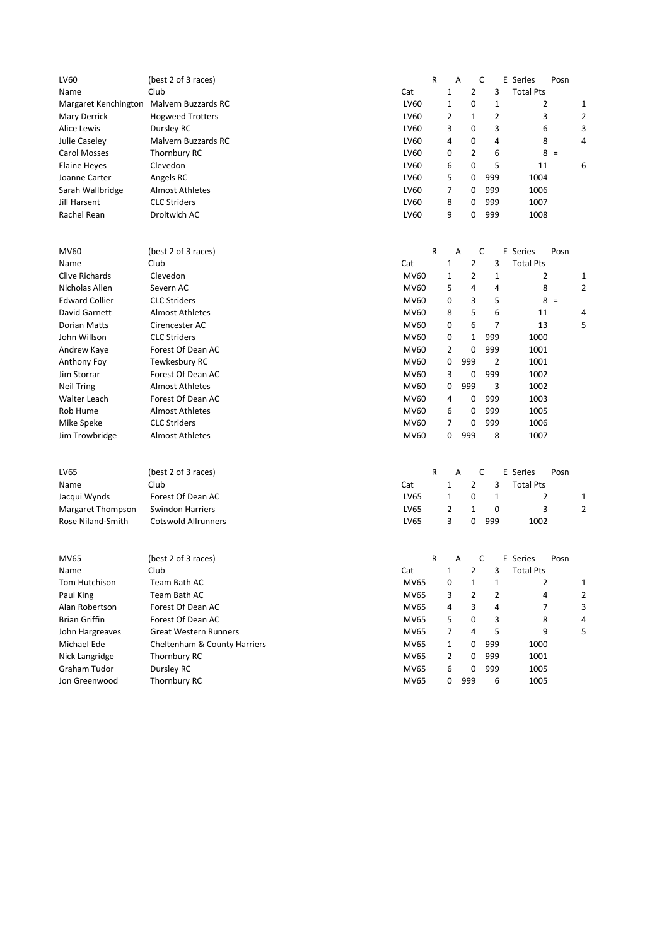| LV60                                     | (best 2 of 3 races)          |             | R           | Α              |                | C              | E Series         | Posn |   |
|------------------------------------------|------------------------------|-------------|-------------|----------------|----------------|----------------|------------------|------|---|
| Name                                     | Club                         | Cat         |             | $\mathbf{1}$   | $\overline{2}$ | 3              | <b>Total Pts</b> |      |   |
| Margaret Kenchington Malvern Buzzards RC |                              | LV60        |             | $\mathbf{1}$   | 0              | $\mathbf{1}$   | 2                |      | 1 |
| Mary Derrick                             | <b>Hogweed Trotters</b>      | LV60        |             | $\overline{2}$ | 1              | $\overline{2}$ | 3                |      | 2 |
| <b>Alice Lewis</b>                       | Dursley RC                   | LV60        |             | 3              | 0              | 3              | 6                |      | 3 |
| Julie Caseley                            | Malvern Buzzards RC          | LV60        |             | 4              | 0              | 4              | 8                |      | 4 |
| Carol Mosses                             | Thornbury RC                 | LV60        |             | 0              | $\overline{2}$ | 6              | $8 =$            |      |   |
| Elaine Heyes                             | Clevedon                     | LV60        |             | 6              | $\mathbf 0$    | 5              | 11               |      | 6 |
| Joanne Carter                            | Angels RC                    | LV60        |             | 5              | 0              | 999            | 1004             |      |   |
| Sarah Wallbridge                         | <b>Almost Athletes</b>       | LV60        |             | $\overline{7}$ | 0              | 999            | 1006             |      |   |
| Jill Harsent                             | <b>CLC Striders</b>          | LV60        |             | 8              | 0              | 999            | 1007             |      |   |
| Rachel Rean                              | Droitwich AC                 | LV60        |             | 9              | 0              | 999            | 1008             |      |   |
| <b>MV60</b>                              | (best 2 of 3 races)          |             | $\mathsf R$ | Α              |                | C              | E Series         | Posn |   |
| Name                                     | Club                         | Cat         |             | 1              | $\overline{2}$ | 3              | <b>Total Pts</b> |      |   |
| <b>Clive Richards</b>                    | Clevedon                     | <b>MV60</b> |             | 1              | 2              | 1              | 2                |      | 1 |
| Nicholas Allen                           | Severn AC                    | <b>MV60</b> |             | 5              | $\overline{4}$ | 4              | 8                |      | 2 |
| <b>Edward Collier</b>                    | <b>CLC Striders</b>          | <b>MV60</b> |             | 0              | 3              | 5              | $8 =$            |      |   |
| David Garnett                            | <b>Almost Athletes</b>       | <b>MV60</b> |             | 8              | 5              | 6              | 11               |      | 4 |
| Dorian Matts                             | Cirencester AC               | MV60        |             | 0              | 6              | 7              | 13               |      | 5 |
| John Willson                             | <b>CLC Striders</b>          | <b>MV60</b> |             | 0              | 1              | 999            | 1000             |      |   |
| Andrew Kaye                              | Forest Of Dean AC            | <b>MV60</b> |             | 2              | 0              | 999            | 1001             |      |   |
| Anthony Foy                              | Tewkesbury RC                | <b>MV60</b> |             | 0              | 999            | $\overline{2}$ | 1001             |      |   |
| Jim Storrar                              | Forest Of Dean AC            | <b>MV60</b> |             | 3              | 0              | 999            | 1002             |      |   |
| <b>Neil Tring</b>                        | <b>Almost Athletes</b>       | <b>MV60</b> |             | 0              | 999            | 3              | 1002             |      |   |
| <b>Walter Leach</b>                      | Forest Of Dean AC            | <b>MV60</b> |             | 4              | 0              | 999            | 1003             |      |   |
| Rob Hume                                 | <b>Almost Athletes</b>       | MV60        |             | 6              | 0              | 999            | 1005             |      |   |
| Mike Speke                               | <b>CLC Striders</b>          | <b>MV60</b> |             | 7              | 0              | 999            | 1006             |      |   |
| Jim Trowbridge                           | <b>Almost Athletes</b>       | <b>MV60</b> |             | 0              | 999            | 8              | 1007             |      |   |
|                                          |                              |             |             |                |                |                |                  |      |   |
| LV65                                     | (best 2 of 3 races)          |             | $\mathsf R$ | Α              |                | C              | E Series         | Posn |   |
| Name                                     | Club                         | Cat         |             | 1              | 2              | 3              | <b>Total Pts</b> |      |   |
| Jacqui Wynds                             | Forest Of Dean AC            | LV65        |             | 1              | 0              | 1              | 2                |      | 1 |
| Margaret Thompson                        | <b>Swindon Harriers</b>      | LV65        |             | $\overline{2}$ | 1              | 0              | 3                |      | 2 |
| Rose Niland-Smith                        | <b>Cotswold Allrunners</b>   | LV65        |             | 3              | 0              | 999            | 1002             |      |   |
| <b>MV65</b>                              | (best 2 of 3 races)          |             | R           | Α              |                | C              | E Series         | Posn |   |
| Name                                     | Club                         | Cat         |             | $\mathbf{1}$   | $\overline{2}$ | 3              | <b>Total Pts</b> |      |   |
| Tom Hutchison                            | Team Bath AC                 | MV65        |             | 0              | 1              | 1              | 2                |      | 1 |
| Paul King                                | Team Bath AC                 | MV65        |             | 3              | 2              | 2              | 4                |      | 2 |
| Alan Robertson                           | Forest Of Dean AC            | <b>MV65</b> |             | 4              | 3              | 4              | 7                |      | 3 |
| <b>Brian Griffin</b>                     | Forest Of Dean AC            | MV65        |             | 5              | 0              | 3              | 8                |      | 4 |
| John Hargreaves                          | <b>Great Western Runners</b> | MV65        |             | 7              | 4              | 5              | 9                |      | 5 |
| Michael Ede                              | Cheltenham & County Harriers | MV65        |             | $\mathbf{1}$   | 0              | 999            | 1000             |      |   |
| Nick Langridge                           | Thornbury RC                 | MV65        |             | 2              | 0              | 999            | 1001             |      |   |
| Graham Tudor                             | Dursley RC                   | <b>MV65</b> |             | 6              | 0              | 999            | 1005             |      |   |
| Jon Greenwood                            | Thornbury RC                 | MV65        |             | 0              | 999            | 6              | 1005             |      |   |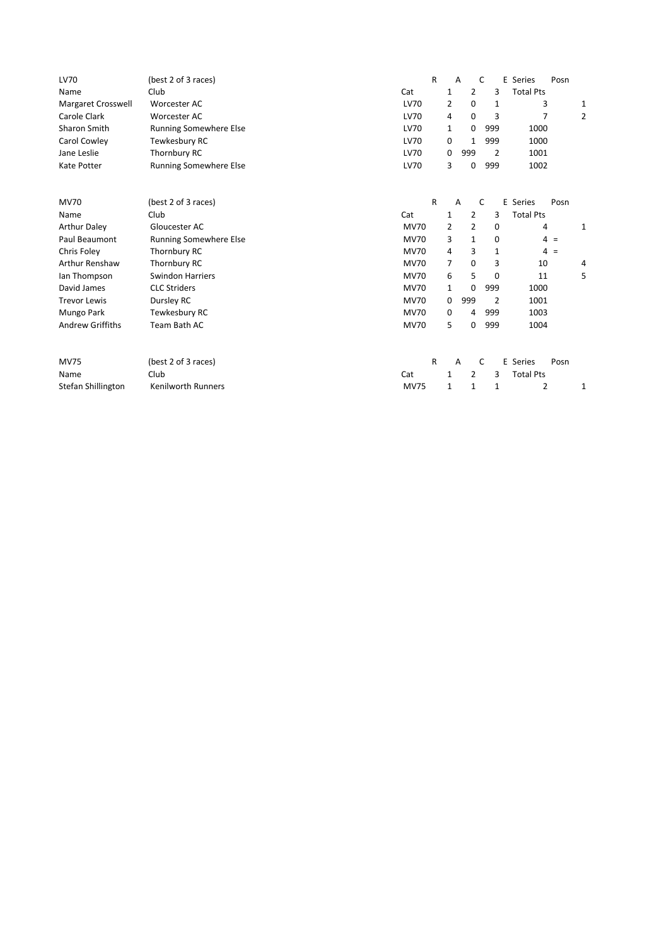| LV70                    | (best 2 of 3 races)           |             | $\mathsf{R}$ | $\overline{A}$ |                | C |             | E Series<br>Posn |   |
|-------------------------|-------------------------------|-------------|--------------|----------------|----------------|---|-------------|------------------|---|
| Name                    | Club                          | Cat         |              | $\mathbf{1}$   | $\overline{2}$ |   | 3           | <b>Total Pts</b> |   |
| Margaret Crosswell      | Worcester AC                  | <b>LV70</b> |              | 2              | 0              |   | 1           | 3                | 1 |
| Carole Clark            | Worcester AC                  | <b>LV70</b> |              | 4              | 0              |   | 3           | 7                | 2 |
| Sharon Smith            | <b>Running Somewhere Else</b> | LV70        |              | 1              | 0              |   | 999         | 1000             |   |
| Carol Cowley            | Tewkesbury RC                 | LV70        |              | 0              | 1              |   | 999         | 1000             |   |
| Jane Leslie             | Thornbury RC                  | LV70        |              | 0              | 999            |   | 2           | 1001             |   |
| Kate Potter             | <b>Running Somewhere Else</b> | <b>LV70</b> |              | 3              | 0              |   | 999         | 1002             |   |
|                         |                               |             |              |                |                |   |             |                  |   |
| <b>MV70</b>             | (best 2 of 3 races)           |             | R            | Α              |                | C |             | E Series<br>Posn |   |
| Name                    | Club                          | Cat         |              | $\mathbf{1}$   | 2              |   | 3           | <b>Total Pts</b> |   |
| <b>Arthur Daley</b>     | Gloucester AC                 | <b>MV70</b> |              | 2              | $\overline{2}$ |   | 0           | 4                | 1 |
| Paul Beaumont           | <b>Running Somewhere Else</b> | <b>MV70</b> |              | 3              | $\mathbf{1}$   |   | $\mathbf 0$ | $4 =$            |   |
| Chris Foley             | Thornbury RC                  | <b>MV70</b> |              | 4              | 3              |   | 1           | $4 =$            |   |
| Arthur Renshaw          | Thornbury RC                  | <b>MV70</b> |              | $\overline{7}$ | 0              |   | 3           | 10               | 4 |
| Ian Thompson            | <b>Swindon Harriers</b>       | <b>MV70</b> |              | 6              | 5              |   | 0           | 11               | 5 |
| David James             | <b>CLC Striders</b>           | <b>MV70</b> |              | 1              | 0              |   | 999         | 1000             |   |
| <b>Trevor Lewis</b>     | Dursley RC                    | <b>MV70</b> |              | 0              | 999            |   | 2           | 1001             |   |
| Mungo Park              | Tewkesbury RC                 | <b>MV70</b> |              | 0              | 4              |   | 999         | 1003             |   |
| <b>Andrew Griffiths</b> | Team Bath AC                  | <b>MV70</b> |              | 5              | 0              |   | 999         | 1004             |   |
|                         |                               |             |              |                |                |   |             |                  |   |
| <b>MV75</b>             | (best 2 of 3 races)           |             | R            | $\overline{A}$ |                | C |             | E Series<br>Posn |   |
| Name                    | Club                          | Cat         |              | 1              | 2              |   | 3           | <b>Total Pts</b> |   |
| Stefan Shillington      | <b>Kenilworth Runners</b>     | <b>MV75</b> |              | 1              | 1              |   | 1           | 2                | 1 |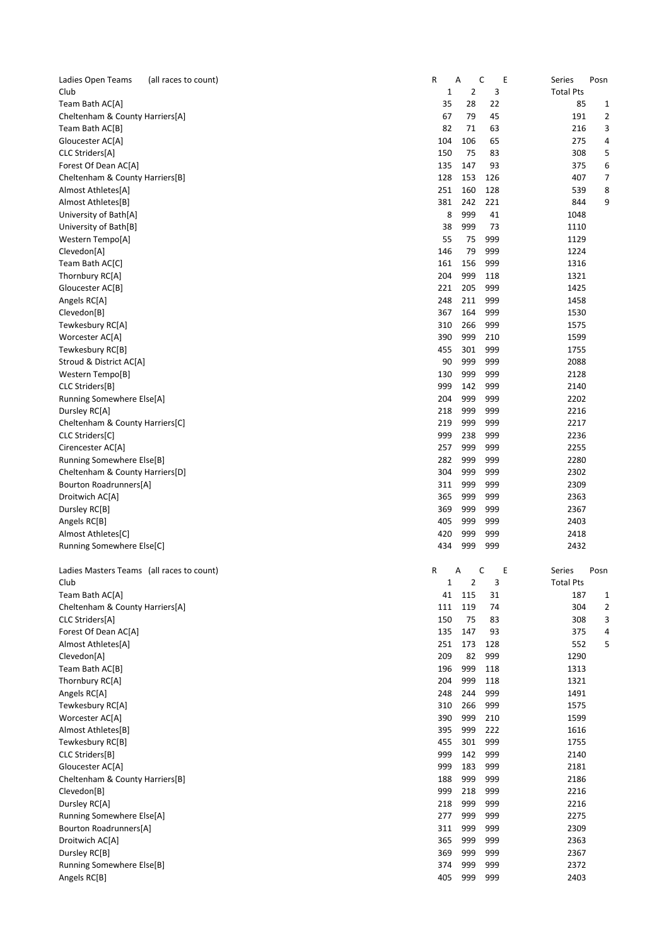| Ladies Open Teams                         | (all races to count) | R           | Α          | C          | E<br>Series      | Posn           |
|-------------------------------------------|----------------------|-------------|------------|------------|------------------|----------------|
| Club                                      |                      | 1           | 2          | 3          | <b>Total Pts</b> |                |
| Team Bath AC[A]                           |                      | 35          | 28         | 22         | 85               | 1              |
| Cheltenham & County Harriers[A]           |                      | 67          | 79         | 45         | 191              | 2              |
| Team Bath AC[B]                           |                      | 82          | 71         | 63         | 216              | 3              |
| Gloucester AC[A]                          |                      | 104         | 106        | 65         | 275              | 4              |
| CLC Striders[A]                           |                      | 150         | 75         | 83         | 308              | 5              |
| Forest Of Dean AC[A]                      |                      | 135         | 147        | 93         | 375              | 6              |
| Cheltenham & County Harriers[B]           |                      | 128         | 153        | 126        | 407              | 7              |
| Almost Athletes[A]                        |                      | 251         | 160        | 128        | 539              | 8              |
| Almost Athletes[B]                        |                      | 381         | 242        | 221        | 844              | 9              |
| University of Bath[A]                     |                      | 8           | 999        | 41         | 1048             |                |
| University of Bath[B]                     |                      | 38<br>55    | 999        | 73         | 1110             |                |
| Western Tempo[A]<br>Clevedon[A]           |                      | 146         | 75<br>79   | 999<br>999 | 1129<br>1224     |                |
| Team Bath AC[C]                           |                      | 161         | 156        | 999        | 1316             |                |
| Thornbury RC[A]                           |                      | 204         | 999        | 118        | 1321             |                |
| Gloucester AC[B]                          |                      | 221         | 205        | 999        | 1425             |                |
| Angels RC[A]                              |                      | 248         | 211        | 999        | 1458             |                |
| Clevedon[B]                               |                      | 367         | 164        | 999        | 1530             |                |
| Tewkesbury RC[A]                          |                      | 310         | 266        | 999        | 1575             |                |
| Worcester AC[A]                           |                      | 390         | 999        | 210        | 1599             |                |
| Tewkesbury RC[B]                          |                      | 455         | 301        | 999        | 1755             |                |
| Stroud & District AC[A]                   |                      | 90          | 999        | 999        | 2088             |                |
| Western Tempo[B]                          |                      | 130         | 999        | 999        | 2128             |                |
| CLC Striders[B]                           |                      | 999         | 142        | 999        | 2140             |                |
| Running Somewhere Else[A]                 |                      | 204         | 999        | 999        | 2202             |                |
| Dursley RC[A]                             |                      | 218         | 999        | 999        | 2216             |                |
| Cheltenham & County Harriers[C]           |                      | 219         | 999        | 999        | 2217             |                |
| CLC Striders[C]                           |                      | 999         | 238        | 999        | 2236             |                |
| Cirencester AC[A]                         |                      | 257         | 999        | 999        | 2255             |                |
| Running Somewhere Else[B]                 |                      | 282         | 999        | 999        | 2280             |                |
| Cheltenham & County Harriers[D]           |                      | 304         | 999        | 999        | 2302             |                |
| Bourton Roadrunners[A]                    |                      | 311         | 999        | 999        | 2309             |                |
| Droitwich AC[A]                           |                      | 365         | 999        | 999        | 2363             |                |
| Dursley RC[B]                             |                      | 369         | 999        | 999        | 2367             |                |
| Angels RC[B]                              |                      | 405         | 999        | 999        | 2403             |                |
| Almost Athletes[C]                        |                      | 420         | 999        | 999        | 2418             |                |
| Running Somewhere Else[C]                 |                      | 434         | 999        | 999        | 2432             |                |
| Ladies Masters Teams (all races to count) |                      | R           | Α          | С          | Ε<br>Series      | Posn           |
| Club                                      |                      | $\mathbf 1$ | 2          | 3          | <b>Total Pts</b> |                |
| Team Bath AC[A]                           |                      | 41          | 115        | 31         | 187              | 1              |
| Cheltenham & County Harriers[A]           |                      | 111         | 119        | 74         | 304              | $\overline{2}$ |
| CLC Striders[A]                           |                      | 150         | 75         | 83         | 308              | 3              |
| Forest Of Dean AC[A]                      |                      | 135         | 147        | 93         | 375              | 4              |
| Almost Athletes[A]                        |                      | 251         | 173        | 128        | 552              | 5              |
| Clevedon[A]                               |                      | 209         | 82         | 999        | 1290             |                |
| Team Bath AC[B]                           |                      | 196         | 999        | 118        | 1313             |                |
| Thornbury RC[A]                           |                      | 204         | 999        | 118        | 1321             |                |
| Angels RC[A]                              |                      | 248         | 244        | 999        | 1491             |                |
| Tewkesbury RC[A]                          |                      | 310         | 266        | 999        | 1575             |                |
| Worcester AC[A]                           |                      | 390         | 999        | 210        | 1599             |                |
| Almost Athletes[B]                        |                      | 395         | 999        | 222        | 1616             |                |
| Tewkesbury RC[B]                          |                      | 455         | 301        | 999        | 1755             |                |
| CLC Striders[B]                           |                      | 999         | 142        | 999        | 2140             |                |
| Gloucester AC[A]                          |                      | 999         | 183        | 999        | 2181             |                |
| Cheltenham & County Harriers[B]           |                      | 188         | 999        | 999        | 2186             |                |
| Clevedon[B]                               |                      | 999         | 218        | 999        | 2216             |                |
| Dursley RC[A]                             |                      | 218         | 999        | 999        | 2216             |                |
| Running Somewhere Else[A]                 |                      | 277<br>311  | 999<br>999 | 999<br>999 | 2275<br>2309     |                |
| Bourton Roadrunners[A]<br>Droitwich AC[A] |                      | 365         | 999        | 999        | 2363             |                |
| Dursley RC[B]                             |                      | 369         | 999        | 999        | 2367             |                |
| Running Somewhere Else[B]                 |                      | 374         | 999        | 999        | 2372             |                |
| Angels RC[B]                              |                      | 405         | 999        | 999        | 2403             |                |
|                                           |                      |             |            |            |                  |                |